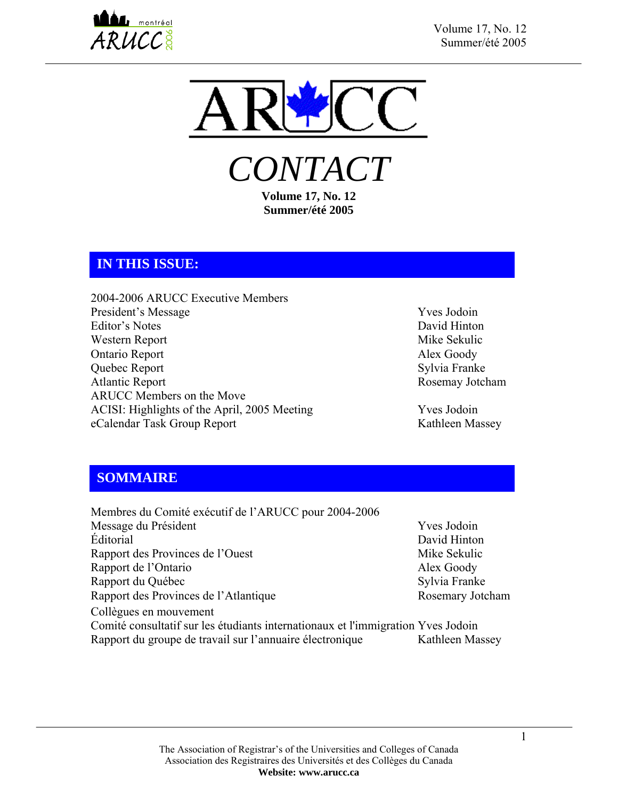



*CONTACT*  **Volume 17, No. 12** 

**Summer/été 2005** 

## **IN THIS ISSUE:**

2004-2006 ARUCC Executive Members President's Message Yves Jodoin Editor's Notes David Hinton Western Report Mike Sekulic Ontario Report Alex Goody Quebec Report Sylvia Franke Atlantic Report Rosemay Jotcham ARUCC Members on the Move ACISI: Highlights of the April, 2005 Meeting Yves Jodoin eCalendar Task Group Report Kathleen Massey

## **SOMMAIRE**

Membres du Comité exécutif de l'ARUCC pour 2004-2006 Message du Président Viennesse et al. (2008) authorities and the Viennesse of Viennesse and Viennesse viennes Éditorial David Hinton Rapport des Provinces de l'Ouest Mike Sekulic Rapport de l'Ontario Alex Goody Rapport du Québec Sylvia Franke Rapport des Provinces de l'Atlantique Rosemary Jotcham Collègues en mouvement Comité consultatif sur les étudiants internationaux et l'immigration Yves Jodoin Rapport du groupe de travail sur l'annuaire électronique Kathleen Massey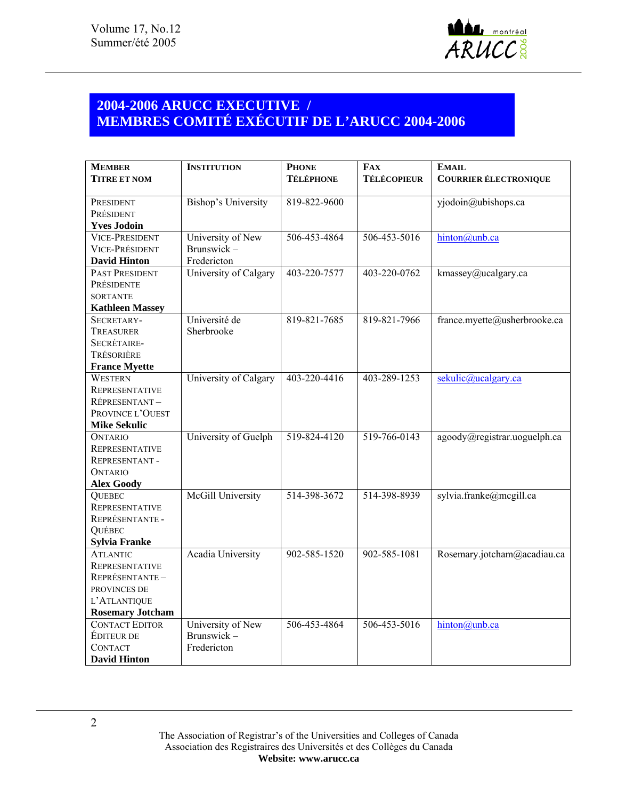

# **2004-2006 ARUCC EXECUTIVE / MEMBRES COMITÉ EXÉCUTIF DE L'ARUCC 2004-2006**

| <b>MEMBER</b>                          | <b>INSTITUTION</b>       | <b>PHONE</b>       | <b>FAX</b>         | <b>EMAIL</b>                 |
|----------------------------------------|--------------------------|--------------------|--------------------|------------------------------|
| <b>TITRE ET NOM</b>                    |                          | <b>TÉLÉPHONE</b>   | <b>TÉLÉCOPIEUR</b> | <b>COURRIER ÉLECTRONIQUE</b> |
| PRESIDENT                              | Bishop's University      | 819-822-9600       |                    | yjodoin@ubishops.ca          |
| PRÉSIDENT                              |                          |                    |                    |                              |
| <b>Yves Jodoin</b>                     |                          |                    |                    |                              |
| <b>VICE-PRESIDENT</b>                  | University of New        | 506-453-4864       | 506-453-5016       | hinton@unb.ca                |
| <b>VICE-PRÉSIDENT</b>                  | Brunswick-               |                    |                    |                              |
| <b>David Hinton</b>                    | Fredericton              |                    |                    |                              |
| PAST PRESIDENT                         | University of Calgary    | 403-220-7577       | 403-220-0762       | kmassey@ucalgary.ca          |
| PRÉSIDENTE                             |                          |                    |                    |                              |
| <b>SORTANTE</b>                        |                          |                    |                    |                              |
| <b>Kathleen Massey</b>                 |                          |                    |                    |                              |
| SECRETARY-                             | Université de            | 819-821-7685       | 819-821-7966       | france.myette@usherbrooke.ca |
| TREASURER                              | Sherbrooke               |                    |                    |                              |
| SECRÉTAIRE-                            |                          |                    |                    |                              |
| TRÉSORIÈRE                             |                          |                    |                    |                              |
| <b>France Myette</b>                   |                          |                    |                    |                              |
| <b>WESTERN</b>                         | University of Calgary    | $403 - 220 - 4416$ | 403-289-1253       | sekulic@ucalgary.ca          |
| <b>REPRESENTATIVE</b>                  |                          |                    |                    |                              |
| RÉPRESENTANT-                          |                          |                    |                    |                              |
| PROVINCE L'OUEST                       |                          |                    |                    |                              |
| <b>Mike Sekulic</b>                    |                          |                    |                    |                              |
| <b>ONTARIO</b>                         | University of Guelph     | 519-824-4120       | 519-766-0143       | agoody@registrar.uoguelph.ca |
| <b>REPRESENTATIVE</b>                  |                          |                    |                    |                              |
| <b>REPRESENTANT-</b><br><b>ONTARIO</b> |                          |                    |                    |                              |
| <b>Alex Goody</b>                      |                          |                    |                    |                              |
| <b>QUEBEC</b>                          | McGill University        | 514-398-3672       | 514-398-8939       | sylvia.franke@mcgill.ca      |
| <b>REPRESENTATIVE</b>                  |                          |                    |                    |                              |
| REPRÉSENTANTE -                        |                          |                    |                    |                              |
| QUÉBEC                                 |                          |                    |                    |                              |
| <b>Sylvia Franke</b>                   |                          |                    |                    |                              |
| <b>ATLANTIC</b>                        | <b>Acadia University</b> | 902-585-1520       | 902-585-1081       | Rosemary.jotcham@acadiau.ca  |
| <b>REPRESENTATIVE</b>                  |                          |                    |                    |                              |
| REPRÉSENTANTE-                         |                          |                    |                    |                              |
| PROVINCES DE                           |                          |                    |                    |                              |
| L'ATLANTIQUE                           |                          |                    |                    |                              |
| <b>Rosemary Jotcham</b>                |                          |                    |                    |                              |
| <b>CONTACT EDITOR</b>                  | University of New        | 506-453-4864       | 506-453-5016       | hinton@unb.ca                |
| ÉDITEUR DE                             | Brunswick-               |                    |                    |                              |
| <b>CONTACT</b>                         | Fredericton              |                    |                    |                              |
| <b>David Hinton</b>                    |                          |                    |                    |                              |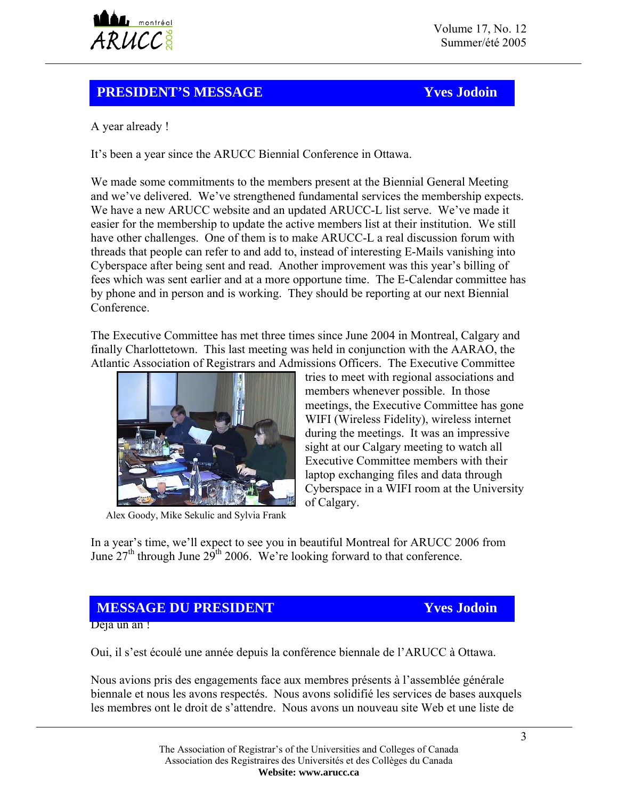

# **PRESIDENT'S MESSAGE Yves Jodoin**

A year already !

It's been a year since the ARUCC Biennial Conference in Ottawa.

We made some commitments to the members present at the Biennial General Meeting and we've delivered. We've strengthened fundamental services the membership expects. We have a new ARUCC website and an updated ARUCC-L list serve. We've made it easier for the membership to update the active members list at their institution. We still have other challenges. One of them is to make ARUCC-L a real discussion forum with threads that people can refer to and add to, instead of interesting E-Mails vanishing into Cyberspace after being sent and read. Another improvement was this year's billing of fees which was sent earlier and at a more opportune time. The E-Calendar committee has by phone and in person and is working. They should be reporting at our next Biennial **Conference** 

The Executive Committee has met three times since June 2004 in Montreal, Calgary and finally Charlottetown. This last meeting was held in conjunction with the AARAO, the Atlantic Association of Registrars and Admissions Officers. The Executive Committee



of Calgary.<br>Alex Goody, Mike Sekulic and Sylvia Frank

tries to meet with regional associations and members whenever possible. In those meetings, the Executive Committee has gone WIFI (Wireless Fidelity), wireless internet during the meetings. It was an impressive sight at our Calgary meeting to watch all Executive Committee members with their laptop exchanging files and data through Cyberspace in a WIFI room at the University

In a year's time, we'll expect to see you in beautiful Montreal for ARUCC 2006 from June  $27<sup>th</sup>$  through June  $29<sup>th</sup>$  2006. We're looking forward to that conference.

# **MESSAGE DU PRESIDENT** Yves Jodoin

Déjà un an!

Oui, il s'est écoulé une année depuis la conférence biennale de l'ARUCC à Ottawa.

Nous avions pris des engagements face aux membres présents à l'assemblée générale biennale et nous les avons respectés. Nous avons solidifié les services de bases auxquels les membres ont le droit de s'attendre. Nous avons un nouveau site Web et une liste de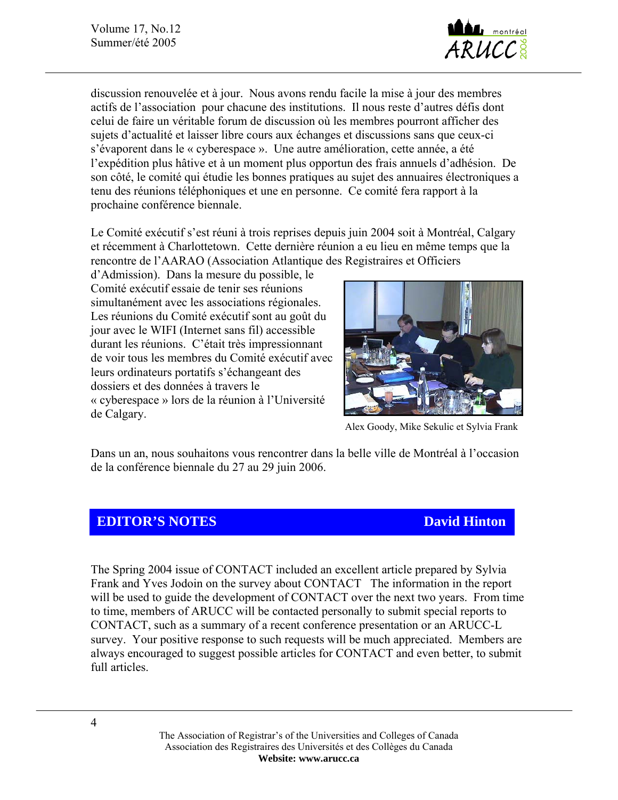Volume 17, No.12 Summer/été 2005



discussion renouvelée et à jour. Nous avons rendu facile la mise à jour des membres actifs de l'association pour chacune des institutions. Il nous reste d'autres défis dont celui de faire un véritable forum de discussion où les membres pourront afficher des sujets d'actualité et laisser libre cours aux échanges et discussions sans que ceux-ci s'évaporent dans le « cyberespace ». Une autre amélioration, cette année, a été l'expédition plus hâtive et à un moment plus opportun des frais annuels d'adhésion. De son côté, le comité qui étudie les bonnes pratiques au sujet des annuaires électroniques a tenu des réunions téléphoniques et une en personne. Ce comité fera rapport à la prochaine conférence biennale.

Le Comité exécutif s'est réuni à trois reprises depuis juin 2004 soit à Montréal, Calgary et récemment à Charlottetown. Cette dernière réunion a eu lieu en même temps que la rencontre de l'AARAO (Association Atlantique des Registraires et Officiers

d'Admission). Dans la mesure du possible, le Comité exécutif essaie de tenir ses réunions simultanément avec les associations régionales. Les réunions du Comité exécutif sont au goût du jour avec le WIFI (Internet sans fil) accessible durant les réunions. C'était très impressionnant de voir tous les membres du Comité exécutif avec leurs ordinateurs portatifs s'échangeant des dossiers et des données à travers le « cyberespace » lors de la réunion à l'Université de Calgary.



Alex Goody, Mike Sekulic et Sylvia Frank

Dans un an, nous souhaitons vous rencontrer dans la belle ville de Montréal à l'occasion de la conférence biennale du 27 au 29 juin 2006.

# **EDITOR'S NOTES** David Hinton

The Spring 2004 issue of CONTACT included an excellent article prepared by Sylvia Frank and Yves Jodoin on the survey about CONTACT The information in the report will be used to guide the development of CONTACT over the next two years. From time to time, members of ARUCC will be contacted personally to submit special reports to CONTACT, such as a summary of a recent conference presentation or an ARUCC-L survey. Your positive response to such requests will be much appreciated. Members are always encouraged to suggest possible articles for CONTACT and even better, to submit full articles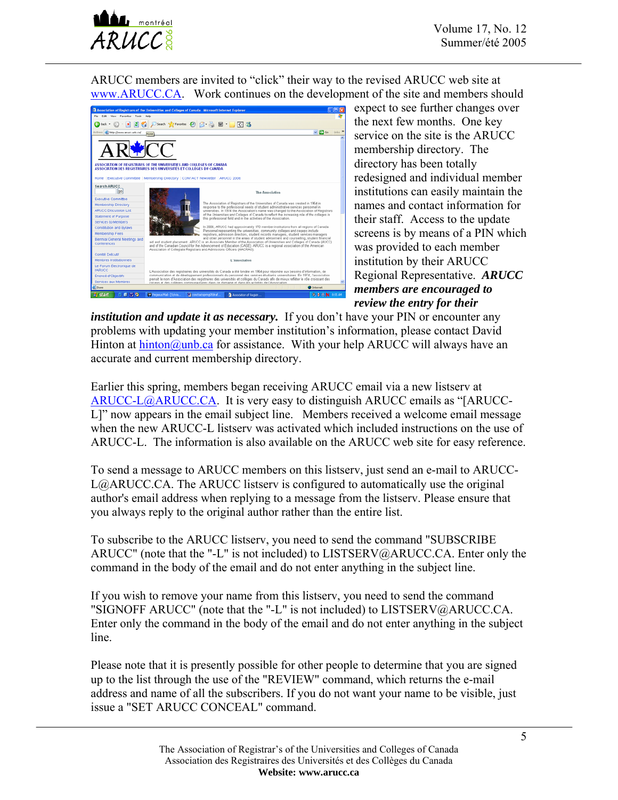ARUCC members are invited to "click" their way to the revised ARUCC web site at [www.ARUCC.CA](http://www.arucc.ca/). Work continues on the development of the site and members should



**144** montréal

expect to see further changes over the next few months. One key service on the site is the ARUCC membership directory. The directory has been totally redesigned and individual member institutions can easily maintain the names and contact information for their staff. Access to the update screens is by means of a PIN which was provided to each member institution by their ARUCC Regional Representative. *ARUCC members are encouraged to review the entry for their* 

*institution and update it as necessary.* If you don't have your PIN or encounter any problems with updating your member institution's information, please contact David Hinton at [hinton@unb.ca](mailto:hinton@unb.ca) for assistance. With your help ARUCC will always have an accurate and current membership directory.

Earlier this spring, members began receiving ARUCC email via a new listserv at [ARUCC-L@ARUCC.CA.](mailto:ARUCC-L@ARUCC.CA) It is very easy to distinguish ARUCC emails as "[ARUCC-L]" now appears in the email subject line. Members received a welcome email message when the new ARUCC-L listserv was activated which included instructions on the use of ARUCC-L. The information is also available on the ARUCC web site for easy reference.

To send a message to ARUCC members on this listserv, just send an e-mail to ARUCC-L@ARUCC.CA. The ARUCC listserv is configured to automatically use the original author's email address when replying to a message from the listserv. Please ensure that you always reply to the original author rather than the entire list.

To subscribe to the ARUCC listserv, you need to send the command "SUBSCRIBE ARUCC" (note that the "-L" is not included) to LISTSERV@ARUCC.CA. Enter only the command in the body of the email and do not enter anything in the subject line.

If you wish to remove your name from this listserv, you need to send the command "SIGNOFF ARUCC" (note that the "-L" is not included) to LISTSERV@ARUCC.CA. Enter only the command in the body of the email and do not enter anything in the subject line.

Please note that it is presently possible for other people to determine that you are signed up to the list through the use of the "REVIEW" command, which returns the e-mail address and name of all the subscribers. If you do not want your name to be visible, just issue a "SET ARUCC CONCEAL" command.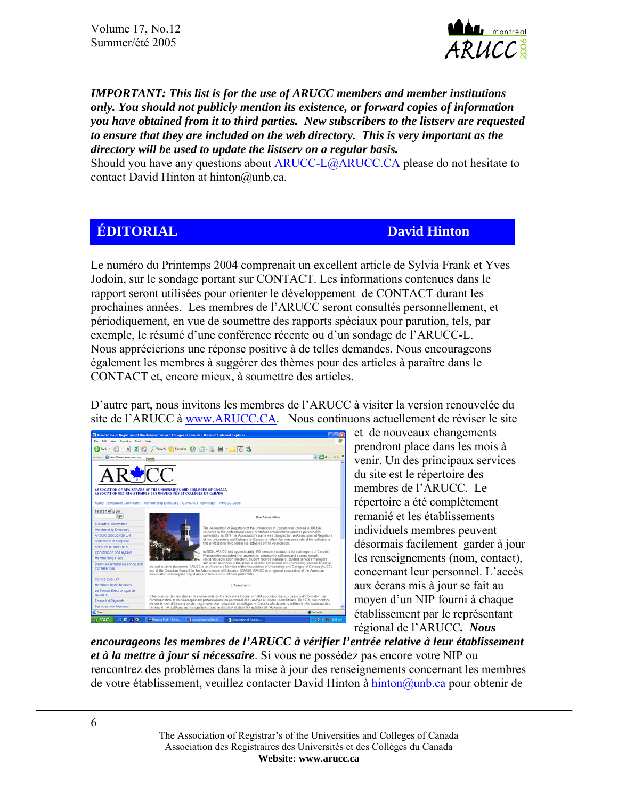Volume 17, No.12 Summer/été 2005



*IMPORTANT: This list is for the use of ARUCC members and member institutions only. You should not publicly mention its existence, or forward copies of information you have obtained from it to third parties. New subscribers to the listserv are requested to ensure that they are included on the web directory. This is very important as the directory will be used to update the listserv on a regular basis.* 

Should you have any questions about [ARUCC-L@ARUCC.CA](mailto:ARUCC-L@ARUCC.CA) please do not hesitate to contact David Hinton at hinton@unb.ca.

## **EDITORIAL David Hinton**

Le numéro du Printemps 2004 comprenait un excellent article de Sylvia Frank et Yves Jodoin, sur le sondage portant sur CONTACT. Les informations contenues dans le rapport seront utilisées pour orienter le développement de CONTACT durant les prochaines années. Les membres de l'ARUCC seront consultés personnellement, et périodiquement, en vue de soumettre des rapports spéciaux pour parution, tels, par exemple, le résumé d'une conférence récente ou d'un sondage de l'ARUCC-L. Nous apprécierions une réponse positive à de telles demandes. Nous encourageons également les membres à suggérer des thèmes pour des articles à paraître dans le CONTACT et, encore mieux, à soumettre des articles.

D'autre part, nous invitons les membres de l'ARUCC à visiter la version renouvelée du site de l'ARUCC à [www.ARUCC.CA.](http://www.arucc.ca/) Nous continuons actuellement de réviser le site



et de nouveaux changements prendront place dans les mois à venir. Un des principaux services du site est le répertoire des membres de l'ARUCC. Le répertoire a été complètement remanié et les établissements individuels membres peuvent désormais facilement garder à jour les renseignements (nom, contact), concernant leur personnel. L'accès aux écrans mis à jour se fait au moyen d'un NIP fourni à chaque établissement par le représentant régional de l'ARUCC*. Nous* 

*encourageons les membres de l'ARUCC à vérifier l'entrée relative à leur établissement et à la mettre à jour si nécessaire*. Si vous ne possédez pas encore votre NIP ou rencontrez des problèmes dans la mise à jour des renseignements concernant les membres de votre établissement, veuillez contacter David Hinton à [hinton@unb.ca](mailto:hinton@unb.ca) pour obtenir de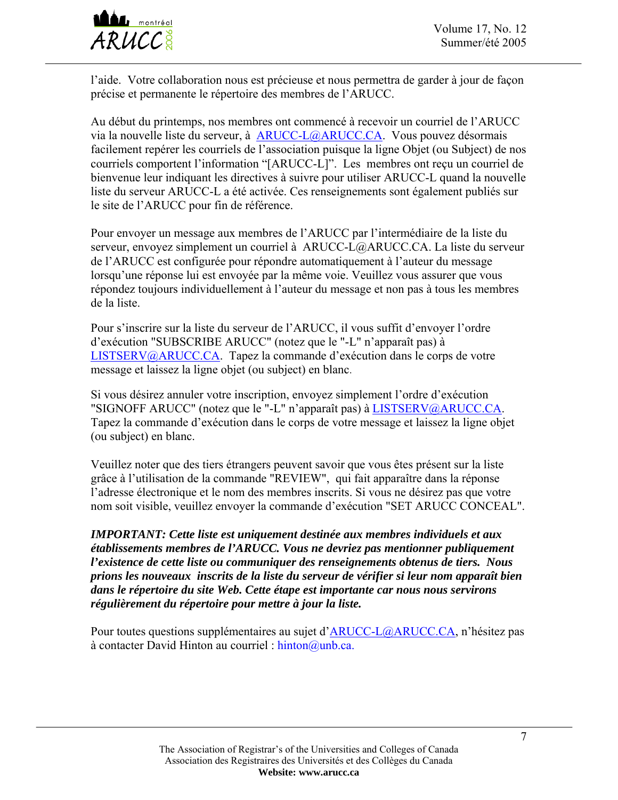

l'aide. Votre collaboration nous est précieuse et nous permettra de garder à jour de façon précise et permanente le répertoire des membres de l'ARUCC.

Au début du printemps, nos membres ont commencé à recevoir un courriel de l'ARUCC via la nouvelle liste du serveur, à [ARUCC-L@ARUCC.CA](mailto:ARUCC-L@ARUCC.CA). Vous pouvez désormais facilement repérer les courriels de l'association puisque la ligne Objet (ou Subject) de nos courriels comportent l'information "[ARUCC-L]". Les membres ont reçu un courriel de bienvenue leur indiquant les directives à suivre pour utiliser ARUCC-L quand la nouvelle liste du serveur ARUCC-L a été activée. Ces renseignements sont également publiés sur le site de l'ARUCC pour fin de référence.

Pour envoyer un message aux membres de l'ARUCC par l'intermédiaire de la liste du serveur, envoyez simplement un courriel à ARUCC-L@ARUCC.CA. La liste du serveur de l'ARUCC est configurée pour répondre automatiquement à l'auteur du message lorsqu'une réponse lui est envoyée par la même voie. Veuillez vous assurer que vous répondez toujours individuellement à l'auteur du message et non pas à tous les membres de la liste.

Pour s'inscrire sur la liste du serveur de l'ARUCC, il vous suffit d'envoyer l'ordre d'exécution "SUBSCRIBE ARUCC" (notez que le "-L" n'apparaît pas) à [LISTSERV@ARUCC.CA.](mailto:LISTSERV@ARUCC.CA) Tapez la commande d'exécution dans le corps de votre message et laissez la ligne objet (ou subject) en blanc.

Si vous désirez annuler votre inscription, envoyez simplement l'ordre d'exécution "SIGNOFF ARUCC" (notez que le "-L" n'apparaît pas) à [LISTSERV@ARUCC.CA](mailto:LISTSERV@ARUCC.CA). Tapez la commande d'exécution dans le corps de votre message et laissez la ligne objet (ou subject) en blanc.

Veuillez noter que des tiers étrangers peuvent savoir que vous êtes présent sur la liste grâce à l'utilisation de la commande "REVIEW", qui fait apparaître dans la réponse l'adresse électronique et le nom des membres inscrits. Si vous ne désirez pas que votre nom soit visible, veuillez envoyer la commande d'exécution "SET ARUCC CONCEAL".

*IMPORTANT: Cette liste est uniquement destinée aux membres individuels et aux établissements membres de l'ARUCC. Vous ne devriez pas mentionner publiquement l'existence de cette liste ou communiquer des renseignements obtenus de tiers. Nous prions les nouveaux inscrits de la liste du serveur de vérifier si leur nom apparaît bien dans le répertoire du site Web. Cette étape est importante car nous nous servirons régulièrement du répertoire pour mettre à jour la liste.* 

Pour toutes questions supplémentaires au sujet d'[ARUCC-L@ARUCC.CA](mailto:ARUCC-L@ARUCC.CA), n'hésitez pas à contacter David Hinton au courriel : hinton@unb.ca.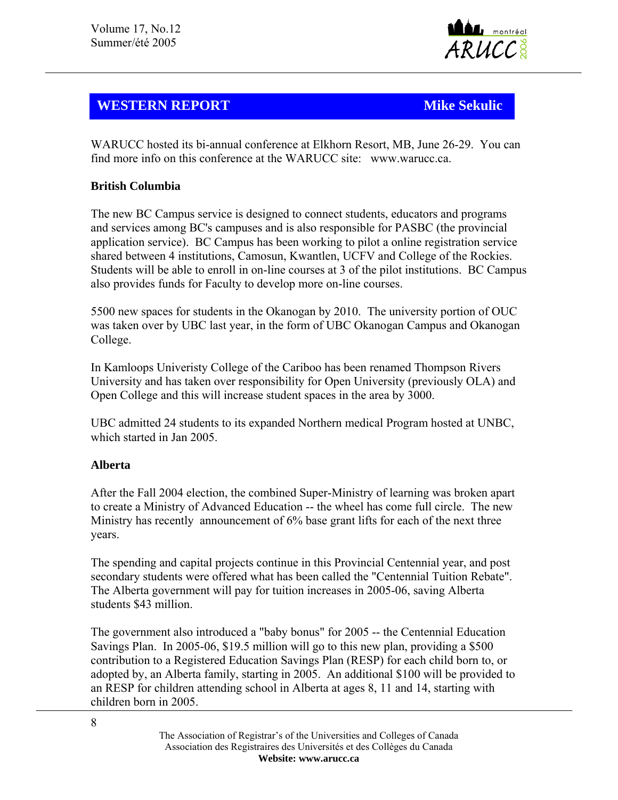

# **WESTERN REPORT Mike Sekulic Mike Sekulic**

WARUCC hosted its bi-annual conference at Elkhorn Resort, MB, June 26-29. You can find more info on this conference at the WARUCC site: www.warucc.ca.

## **British Columbia**

The new BC Campus service is designed to connect students, educators and programs and services among BC's campuses and is also responsible for PASBC (the provincial application service). BC Campus has been working to pilot a online registration service shared between 4 institutions, Camosun, Kwantlen, UCFV and College of the Rockies. Students will be able to enroll in on-line courses at 3 of the pilot institutions. BC Campus also provides funds for Faculty to develop more on-line courses.

5500 new spaces for students in the Okanogan by 2010. The university portion of OUC was taken over by UBC last year, in the form of UBC Okanogan Campus and Okanogan College.

In Kamloops Univeristy College of the Cariboo has been renamed Thompson Rivers University and has taken over responsibility for Open University (previously OLA) and Open College and this will increase student spaces in the area by 3000.

UBC admitted 24 students to its expanded Northern medical Program hosted at UNBC, which started in Jan 2005.

### **Alberta**

After the Fall 2004 election, the combined Super-Ministry of learning was broken apart to create a Ministry of Advanced Education -- the wheel has come full circle. The new Ministry has recently announcement of 6% base grant lifts for each of the next three years.

The spending and capital projects continue in this Provincial Centennial year, and post secondary students were offered what has been called the "Centennial Tuition Rebate". The Alberta government will pay for tuition increases in 2005-06, saving Alberta students \$43 million.

The government also introduced a "baby bonus" for 2005 -- the Centennial Education Savings Plan. In 2005-06, \$19.5 million will go to this new plan, providing a \$500 contribution to a Registered Education Savings Plan (RESP) for each child born to, or adopted by, an Alberta family, starting in 2005. An additional \$100 will be provided to an RESP for children attending school in Alberta at ages 8, 11 and 14, starting with children born in 2005.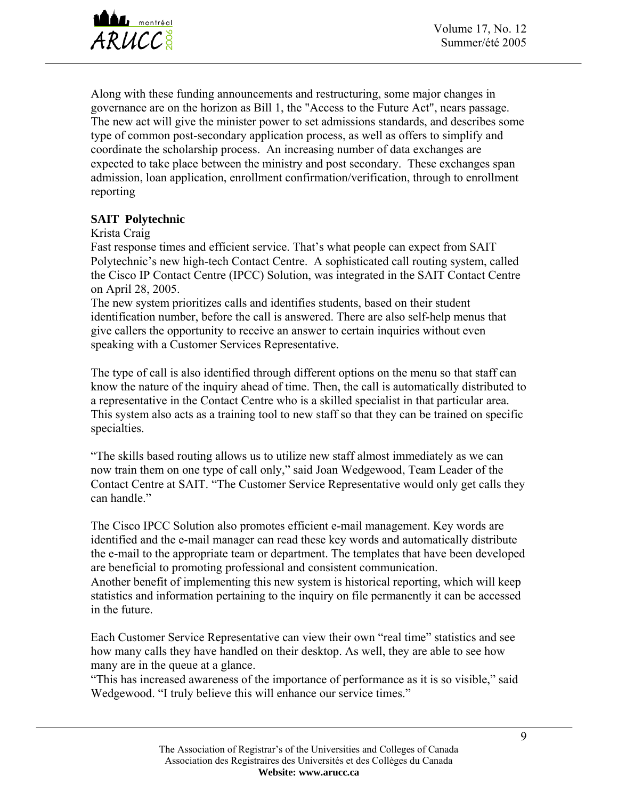

Along with these funding announcements and restructuring, some major changes in governance are on the horizon as Bill 1, the "Access to the Future Act", nears passage. The new act will give the minister power to set admissions standards, and describes some type of common post-secondary application process, as well as offers to simplify and coordinate the scholarship process. An increasing number of data exchanges are expected to take place between the ministry and post secondary. These exchanges span admission, loan application, enrollment confirmation/verification, through to enrollment reporting

## **SAIT Polytechnic**

Krista Craig

Fast response times and efficient service. That's what people can expect from SAIT Polytechnic's new high-tech Contact Centre. A sophisticated call routing system, called the Cisco IP Contact Centre (IPCC) Solution, was integrated in the SAIT Contact Centre on April 28, 2005.

The new system prioritizes calls and identifies students, based on their student identification number, before the call is answered. There are also self-help menus that give callers the opportunity to receive an answer to certain inquiries without even speaking with a Customer Services Representative.

The type of call is also identified through different options on the menu so that staff can know the nature of the inquiry ahead of time. Then, the call is automatically distributed to a representative in the Contact Centre who is a skilled specialist in that particular area. This system also acts as a training tool to new staff so that they can be trained on specific specialties.

"The skills based routing allows us to utilize new staff almost immediately as we can now train them on one type of call only," said Joan Wedgewood, Team Leader of the Contact Centre at SAIT. "The Customer Service Representative would only get calls they can handle."

The Cisco IPCC Solution also promotes efficient e-mail management. Key words are identified and the e-mail manager can read these key words and automatically distribute the e-mail to the appropriate team or department. The templates that have been developed are beneficial to promoting professional and consistent communication. Another benefit of implementing this new system is historical reporting, which will keep statistics and information pertaining to the inquiry on file permanently it can be accessed in the future.

Each Customer Service Representative can view their own "real time" statistics and see how many calls they have handled on their desktop. As well, they are able to see how many are in the queue at a glance.

"This has increased awareness of the importance of performance as it is so visible," said Wedgewood. "I truly believe this will enhance our service times."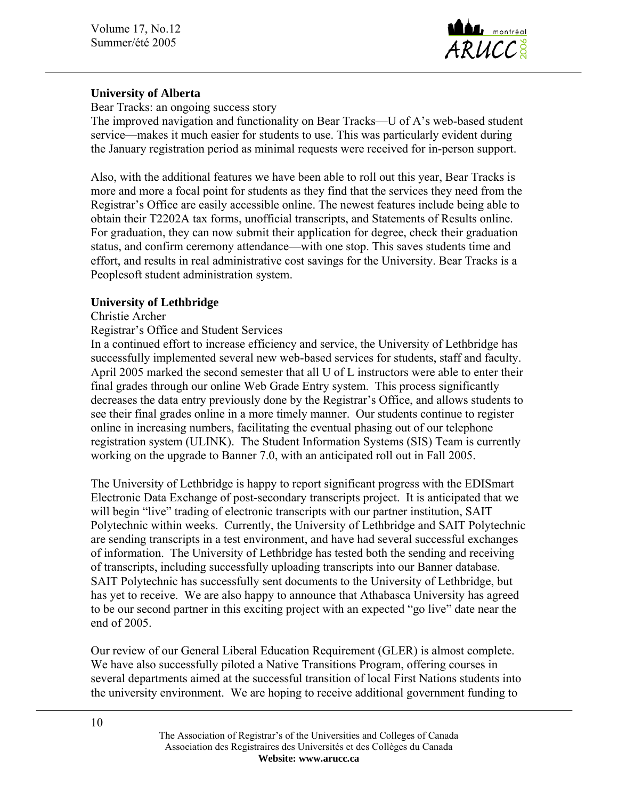

#### **University of Alberta**

Bear Tracks: an ongoing success story The improved navigation and functionality on Bear Tracks—U of A's web-based student service—makes it much easier for students to use. This was particularly evident during the January registration period as minimal requests were received for in-person support.

Also, with the additional features we have been able to roll out this year, Bear Tracks is more and more a focal point for students as they find that the services they need from the Registrar's Office are easily accessible online. The newest features include being able to obtain their T2202A tax forms, unofficial transcripts, and Statements of Results online. For graduation, they can now submit their application for degree, check their graduation status, and confirm ceremony attendance—with one stop. This saves students time and effort, and results in real administrative cost savings for the University. Bear Tracks is a Peoplesoft student administration system.

### **University of Lethbridge**

#### Christie Archer

#### Registrar's Office and Student Services

In a continued effort to increase efficiency and service, the University of Lethbridge has successfully implemented several new web-based services for students, staff and faculty. April 2005 marked the second semester that all U of L instructors were able to enter their final grades through our online Web Grade Entry system. This process significantly decreases the data entry previously done by the Registrar's Office, and allows students to see their final grades online in a more timely manner. Our students continue to register online in increasing numbers, facilitating the eventual phasing out of our telephone registration system (ULINK). The Student Information Systems (SIS) Team is currently working on the upgrade to Banner 7.0, with an anticipated roll out in Fall 2005.

The University of Lethbridge is happy to report significant progress with the EDISmart Electronic Data Exchange of post-secondary transcripts project. It is anticipated that we will begin "live" trading of electronic transcripts with our partner institution, SAIT Polytechnic within weeks. Currently, the University of Lethbridge and SAIT Polytechnic are sending transcripts in a test environment, and have had several successful exchanges of information. The University of Lethbridge has tested both the sending and receiving of transcripts, including successfully uploading transcripts into our Banner database. SAIT Polytechnic has successfully sent documents to the University of Lethbridge, but has yet to receive. We are also happy to announce that Athabasca University has agreed to be our second partner in this exciting project with an expected "go live" date near the end of 2005.

Our review of our General Liberal Education Requirement (GLER) is almost complete. We have also successfully piloted a Native Transitions Program, offering courses in several departments aimed at the successful transition of local First Nations students into the university environment. We are hoping to receive additional government funding to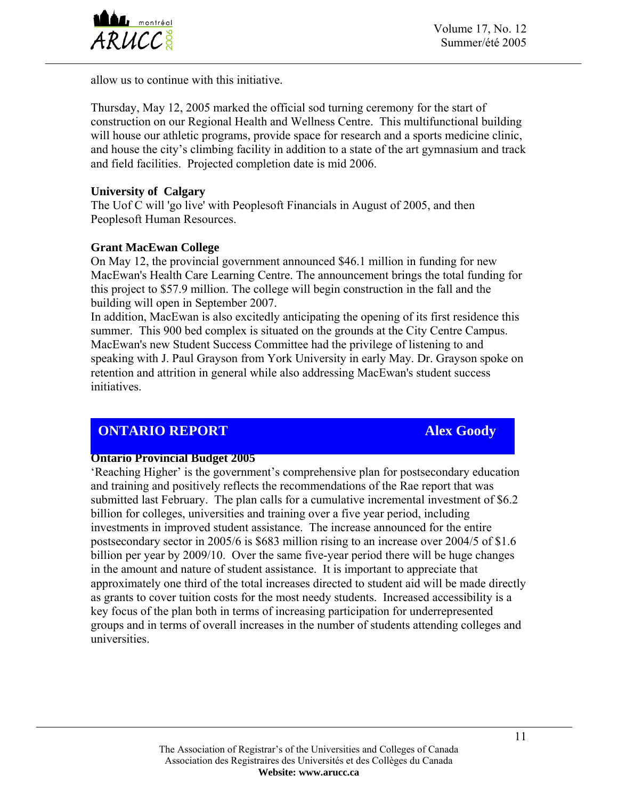

allow us to continue with this initiative.

Thursday, May 12, 2005 marked the official sod turning ceremony for the start of construction on our Regional Health and Wellness Centre. This multifunctional building will house our athletic programs, provide space for research and a sports medicine clinic, and house the city's climbing facility in addition to a state of the art gymnasium and track and field facilities. Projected completion date is mid 2006.

#### **University of Calgary**

The Uof C will 'go live' with Peoplesoft Financials in August of 2005, and then Peoplesoft Human Resources.

#### **Grant MacEwan College**

On May 12, the provincial government announced \$46.1 million in funding for new MacEwan's Health Care Learning Centre. The announcement brings the total funding for this project to \$57.9 million. The college will begin construction in the fall and the building will open in September 2007.

In addition, MacEwan is also excitedly anticipating the opening of its first residence this summer. This 900 bed complex is situated on the grounds at the City Centre Campus. MacEwan's new Student Success Committee had the privilege of listening to and speaking with J. Paul Grayson from York University in early May. Dr. Grayson spoke on retention and attrition in general while also addressing MacEwan's student success initiatives.

# **ONTARIO REPORT Alex Goody**

#### **Ontario Provincial Budget 2005**

'Reaching Higher' is the government's comprehensive plan for postsecondary education and training and positively reflects the recommendations of the Rae report that was submitted last February. The plan calls for a cumulative incremental investment of \$6.2 billion for colleges, universities and training over a five year period, including investments in improved student assistance. The increase announced for the entire postsecondary sector in 2005/6 is \$683 million rising to an increase over 2004/5 of \$1.6 billion per year by 2009/10. Over the same five-year period there will be huge changes in the amount and nature of student assistance. It is important to appreciate that approximately one third of the total increases directed to student aid will be made directly as grants to cover tuition costs for the most needy students. Increased accessibility is a key focus of the plan both in terms of increasing participation for underrepresented groups and in terms of overall increases in the number of students attending colleges and universities.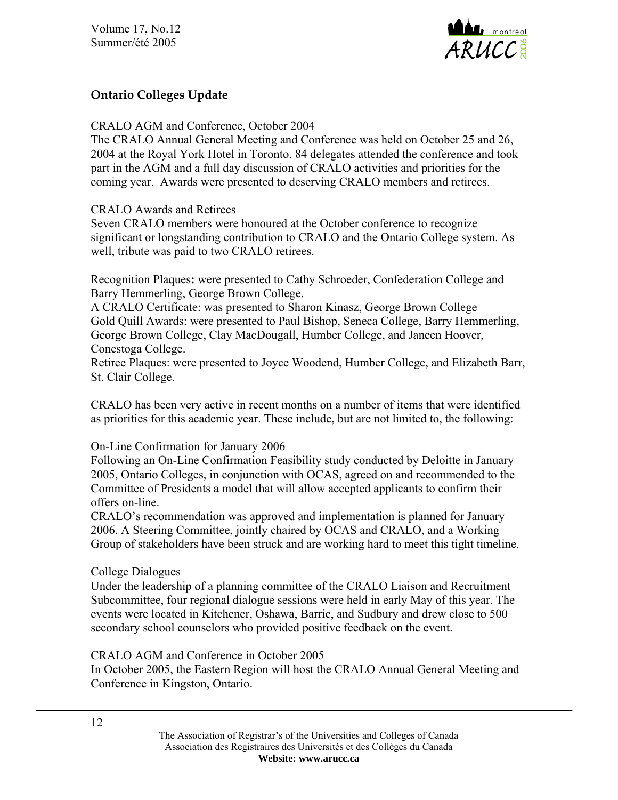

## **Ontario Colleges Update**

CRALO AGM and Conference, October 2004

The CRALO Annual General Meeting and Conference was held on October 25 and 26, 2004 at the Royal York Hotel in Toronto. 84 delegates attended the conference and took part in the AGM and a full day discussion of CRALO activities and priorities for the coming year. Awards were presented to deserving CRALO members and retirees.

#### CRALO Awards and Retirees

Seven CRALO members were honoured at the October conference to recognize significant or longstanding contribution to CRALO and the Ontario College system. As well, tribute was paid to two CRALO retirees.

Recognition Plaques**:** were presented to Cathy Schroeder, Confederation College and Barry Hemmerling, George Brown College.

A CRALO Certificate: was presented to Sharon Kinasz, George Brown College Gold Quill Awards: were presented to Paul Bishop, Seneca College, Barry Hemmerling, George Brown College, Clay MacDougall, Humber College, and Janeen Hoover, Conestoga College.

Retiree Plaques: were presented to Joyce Woodend, Humber College, and Elizabeth Barr, St. Clair College.

CRALO has been very active in recent months on a number of items that were identified as priorities for this academic year. These include, but are not limited to, the following:

On-Line Confirmation for January 2006

Following an On-Line Confirmation Feasibility study conducted by Deloitte in January 2005, Ontario Colleges, in conjunction with OCAS, agreed on and recommended to the Committee of Presidents a model that will allow accepted applicants to confirm their offers on-line.

CRALO's recommendation was approved and implementation is planned for January 2006. A Steering Committee, jointly chaired by OCAS and CRALO, and a Working Group of stakeholders have been struck and are working hard to meet this tight timeline.

### College Dialogues

Under the leadership of a planning committee of the CRALO Liaison and Recruitment Subcommittee, four regional dialogue sessions were held in early May of this year. The events were located in Kitchener, Oshawa, Barrie, and Sudbury and drew close to 500 secondary school counselors who provided positive feedback on the event.

CRALO AGM and Conference in October 2005

In October 2005, the Eastern Region will host the CRALO Annual General Meeting and Conference in Kingston, Ontario.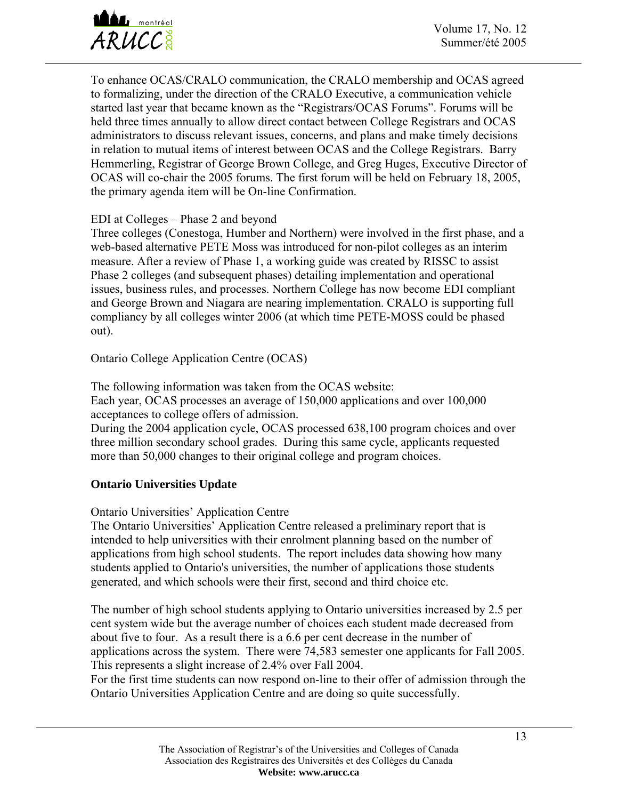

To enhance OCAS/CRALO communication, the CRALO membership and OCAS agreed to formalizing, under the direction of the CRALO Executive, a communication vehicle started last year that became known as the "Registrars/OCAS Forums". Forums will be held three times annually to allow direct contact between College Registrars and OCAS administrators to discuss relevant issues, concerns, and plans and make timely decisions in relation to mutual items of interest between OCAS and the College Registrars. Barry Hemmerling, Registrar of George Brown College, and Greg Huges, Executive Director of OCAS will co-chair the 2005 forums. The first forum will be held on February 18, 2005, the primary agenda item will be On-line Confirmation.

### EDI at Colleges – Phase 2 and beyond

Three colleges (Conestoga, Humber and Northern) were involved in the first phase, and a web-based alternative PETE Moss was introduced for non-pilot colleges as an interim measure. After a review of Phase 1, a working guide was created by RISSC to assist Phase 2 colleges (and subsequent phases) detailing implementation and operational issues, business rules, and processes. Northern College has now become EDI compliant and George Brown and Niagara are nearing implementation. CRALO is supporting full compliancy by all colleges winter 2006 (at which time PETE-MOSS could be phased out).

Ontario College Application Centre (OCAS)

The following information was taken from the OCAS website: Each year, OCAS processes an average of 150,000 applications and over 100,000 acceptances to college offers of admission.

During the 2004 application cycle, OCAS processed 638,100 program choices and over three million secondary school grades. During this same cycle, applicants requested more than 50,000 changes to their original college and program choices.

## **Ontario Universities Update**

### Ontario Universities' Application Centre

The Ontario Universities' Application Centre released a preliminary report that is intended to help universities with their enrolment planning based on the number of applications from high school students. The report includes data showing how many students applied to Ontario's universities, the number of applications those students generated, and which schools were their first, second and third choice etc.

The number of high school students applying to Ontario universities increased by 2.5 per cent system wide but the average number of choices each student made decreased from about five to four. As a result there is a 6.6 per cent decrease in the number of applications across the system. There were 74,583 semester one applicants for Fall 2005. This represents a slight increase of 2.4% over Fall 2004.

For the first time students can now respond on-line to their offer of admission through the Ontario Universities Application Centre and are doing so quite successfully.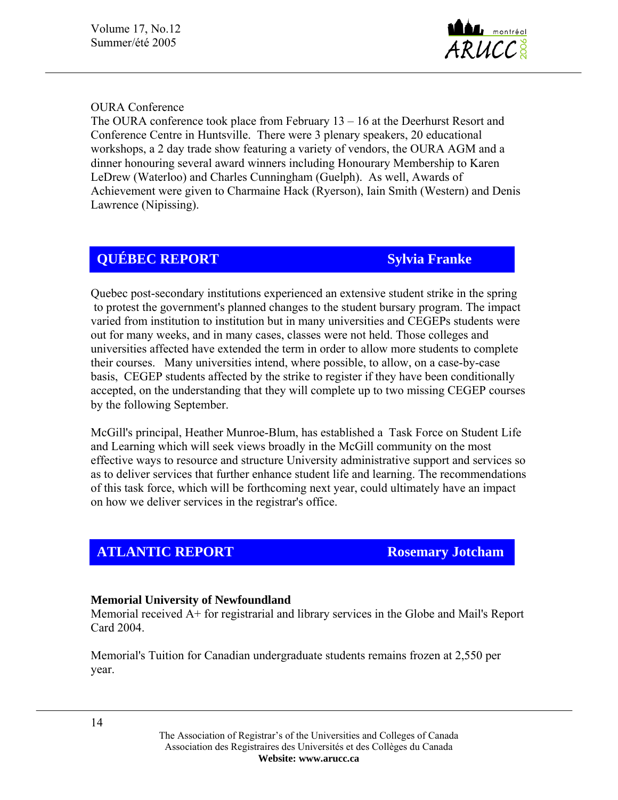

### OURA Conference

The OURA conference took place from February 13 – 16 at the Deerhurst Resort and Conference Centre in Huntsville. There were 3 plenary speakers, 20 educational workshops, a 2 day trade show featuring a variety of vendors, the OURA AGM and a dinner honouring several award winners including Honourary Membership to Karen LeDrew (Waterloo) and Charles Cunningham (Guelph). As well, Awards of Achievement were given to Charmaine Hack (Ryerson), Iain Smith (Western) and Denis Lawrence (Nipissing).

# **QUÉBEC REPORT Sylvia Franke**

Quebec post-secondary institutions experienced an extensive student strike in the spring to protest the government's planned changes to the student bursary program. The impact varied from institution to institution but in many universities and CEGEPs students were out for many weeks, and in many cases, classes were not held. Those colleges and universities affected have extended the term in order to allow more students to complete their courses. Many universities intend, where possible, to allow, on a case-by-case basis, CEGEP students affected by the strike to register if they have been conditionally accepted, on the understanding that they will complete up to two missing CEGEP courses by the following September.

McGill's principal, Heather Munroe-Blum, has established a Task Force on Student Life and Learning which will seek views broadly in the McGill community on the most effective ways to resource and structure University administrative support and services so as to deliver services that further enhance student life and learning. The recommendations of this task force, which will be forthcoming next year, could ultimately have an impact on how we deliver services in the registrar's office.

## **ATLANTIC REPORT ROSEMATION ROSEMATION**

#### **Memorial University of Newfoundland**

Memorial received A+ for registrarial and library services in the Globe and Mail's Report Card 2004.

Memorial's Tuition for Canadian undergraduate students remains frozen at 2,550 per year.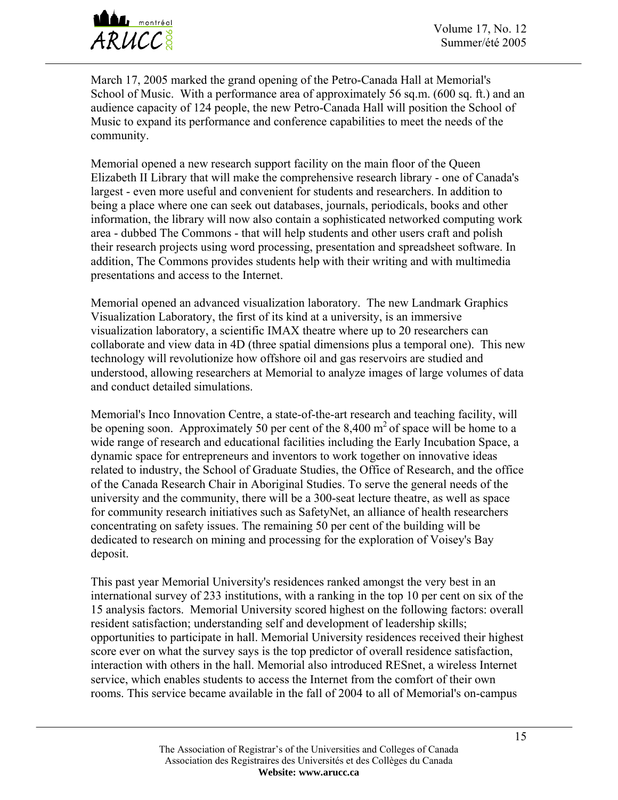

March 17, 2005 marked the grand opening of the Petro-Canada Hall at Memorial's School of Music. With a performance area of approximately 56 sq.m. (600 sq. ft.) and an audience capacity of 124 people, the new Petro-Canada Hall will position the School of Music to expand its performance and conference capabilities to meet the needs of the community.

Memorial opened a new research support facility on the main floor of the Queen Elizabeth II Library that will make the comprehensive research library - one of Canada's largest - even more useful and convenient for students and researchers. In addition to being a place where one can seek out databases, journals, periodicals, books and other information, the library will now also contain a sophisticated networked computing work area - dubbed The Commons - that will help students and other users craft and polish their research projects using word processing, presentation and spreadsheet software. In addition, The Commons provides students help with their writing and with multimedia presentations and access to the Internet.

Memorial opened an advanced visualization laboratory. The new Landmark Graphics Visualization Laboratory, the first of its kind at a university, is an immersive visualization laboratory, a scientific IMAX theatre where up to 20 researchers can collaborate and view data in 4D (three spatial dimensions plus a temporal one). This new technology will revolutionize how offshore oil and gas reservoirs are studied and understood, allowing researchers at Memorial to analyze images of large volumes of data and conduct detailed simulations.

Memorial's Inco Innovation Centre, a state-of-the-art research and teaching facility, will be opening soon. Approximately 50 per cent of the 8,400  $m<sup>2</sup>$  of space will be home to a wide range of research and educational facilities including the Early Incubation Space, a dynamic space for entrepreneurs and inventors to work together on innovative ideas related to industry, the School of Graduate Studies, the Office of Research, and the office of the Canada Research Chair in Aboriginal Studies. To serve the general needs of the university and the community, there will be a 300-seat lecture theatre, as well as space for community research initiatives such as SafetyNet, an alliance of health researchers concentrating on safety issues. The remaining 50 per cent of the building will be dedicated to research on mining and processing for the exploration of Voisey's Bay deposit.

This past year Memorial University's residences ranked amongst the very best in an international survey of 233 institutions, with a ranking in the top 10 per cent on six of the 15 analysis factors. Memorial University scored highest on the following factors: overall resident satisfaction; understanding self and development of leadership skills; opportunities to participate in hall. Memorial University residences received their highest score ever on what the survey says is the top predictor of overall residence satisfaction, interaction with others in the hall. Memorial also introduced RESnet, a wireless Internet service, which enables students to access the Internet from the comfort of their own rooms. This service became available in the fall of 2004 to all of Memorial's on-campus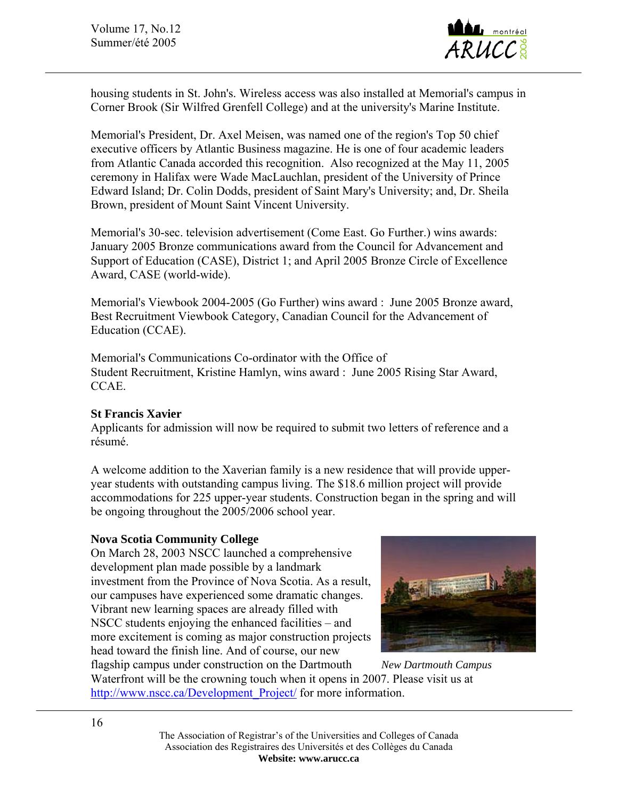Volume 17, No.12 Summer/été 2005



housing students in St. John's. Wireless access was also installed at Memorial's campus in Corner Brook (Sir Wilfred Grenfell College) and at the university's Marine Institute.

Memorial's President, Dr. Axel Meisen, was named one of the region's Top 50 chief executive officers by Atlantic Business magazine. He is one of four academic leaders from Atlantic Canada accorded this recognition. Also recognized at the May 11, 2005 ceremony in Halifax were Wade MacLauchlan, president of the University of Prince Edward Island; Dr. Colin Dodds, president of Saint Mary's University; and, Dr. Sheila Brown, president of Mount Saint Vincent University.

Memorial's 30-sec. television advertisement (Come East. Go Further.) wins awards: January 2005 Bronze communications award from the Council for Advancement and Support of Education (CASE), District 1; and April 2005 Bronze Circle of Excellence Award, CASE (world-wide).

Memorial's Viewbook 2004-2005 (Go Further) wins award : June 2005 Bronze award, Best Recruitment Viewbook Category, Canadian Council for the Advancement of Education (CCAE).

Memorial's Communications Co-ordinator with the Office of Student Recruitment, Kristine Hamlyn, wins award : June 2005 Rising Star Award, CCAE.

### **St Francis Xavier**

Applicants for admission will now be required to submit two letters of reference and a résumé.

A welcome addition to the Xaverian family is a new residence that will provide upperyear students with outstanding campus living. The \$18.6 million project will provide accommodations for 225 upper-year students. Construction began in the spring and will be ongoing throughout the 2005/2006 school year.

#### **Nova Scotia Community College**

On March 28, 2003 NSCC launched a comprehensive development plan made possible by a landmark investment from the Province of Nova Scotia. As a result, our campuses have experienced some dramatic changes. Vibrant new learning spaces are already filled with NSCC students enjoying the enhanced facilities – and more excitement is coming as major construction projects head toward the finish line. And of course, our new



flagship campus under construction on the Dartmouth *New Dartmouth Campus*  Waterfront will be the crowning touch when it opens in 2007. Please visit us at [http://www.nscc.ca/Development\\_Project/](http://www.nscc.ca/Development_Project/) for more information.

> The Association of Registrar's of the Universities and Colleges of Canada Association des Registraires des Universités et des Collèges du Canada **Website: www.arucc.ca**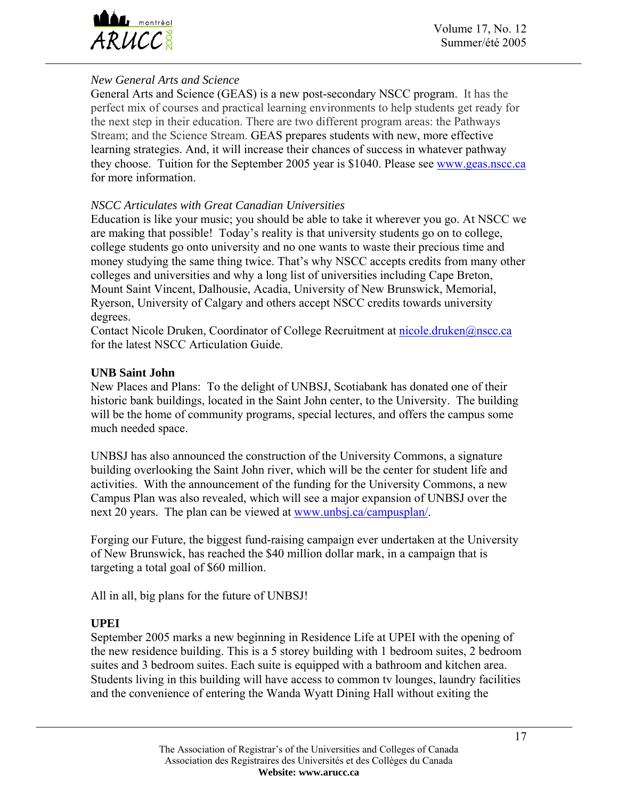

## *New General Arts and Science*

General Arts and Science (GEAS) is a new post-secondary NSCC program. It has the perfect mix of courses and practical learning environments to help students get ready for the next step in their education. There are two different program areas: the Pathways Stream; and the Science Stream. GEAS prepares students with new, more effective learning strategies. And, it will increase their chances of success in whatever pathway they choose. Tuition for the September 2005 year is \$1040. Please see [www.geas.nscc.ca](http://www.geas.nscc.ca/) for more information.

### *NSCC Articulates with Great Canadian Universities*

Education is like your music; you should be able to take it wherever you go. At NSCC we are making that possible! Today's reality is that university students go on to college, college students go onto university and no one wants to waste their precious time and money studying the same thing twice. That's why NSCC accepts credits from many other colleges and universities and why a long list of universities including Cape Breton, Mount Saint Vincent, Dalhousie, Acadia, University of New Brunswick, Memorial, Ryerson, University of Calgary and others accept NSCC credits towards university degrees.

Contact Nicole Druken, Coordinator of College Recruitment at [nicole.druken@nscc.ca](mailto:nicole.druken@nscc.ca) for the latest NSCC Articulation Guide.

#### **UNB Saint John**

New Places and Plans: To the delight of UNBSJ, Scotiabank has donated one of their historic bank buildings, located in the Saint John center, to the University. The building will be the home of community programs, special lectures, and offers the campus some much needed space.

UNBSJ has also announced the construction of the University Commons, a signature building overlooking the Saint John river, which will be the center for student life and activities. With the announcement of the funding for the University Commons, a new Campus Plan was also revealed, which will see a major expansion of UNBSJ over the next 20 years. The plan can be viewed at www.unbsj.ca/campusplan/.

Forging our Future, the biggest fund-raising campaign ever undertaken at the University of New Brunswick, has reached the \$40 million dollar mark, in a campaign that is targeting a total goal of \$60 million.

All in all, big plans for the future of UNBSJ!

### **UPEI**

September 2005 marks a new beginning in Residence Life at UPEI with the opening of the new residence building. This is a 5 storey building with 1 bedroom suites, 2 bedroom suites and 3 bedroom suites. Each suite is equipped with a bathroom and kitchen area. Students living in this building will have access to common tv lounges, laundry facilities and the convenience of entering the Wanda Wyatt Dining Hall without exiting the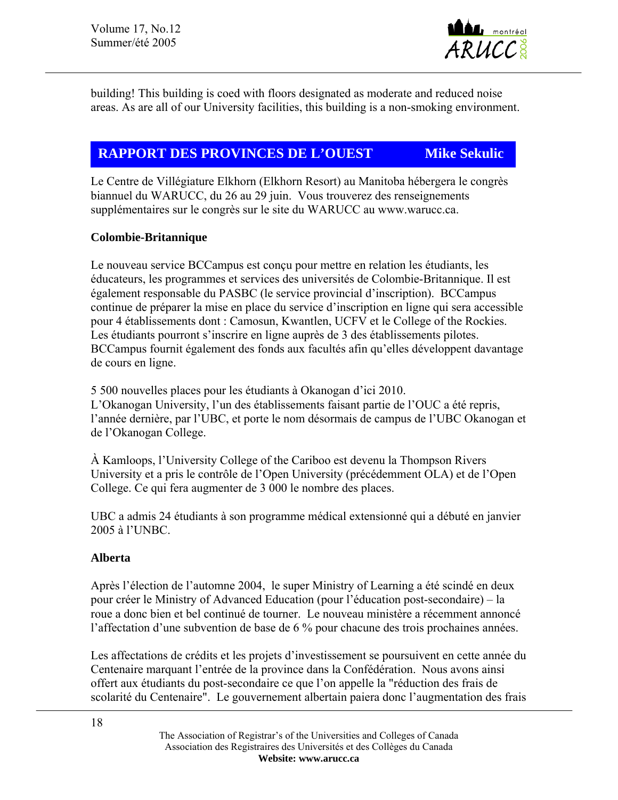

building! This building is coed with floors designated as moderate and reduced noise areas. As are all of our University facilities, this building is a non-smoking environment.

# **RAPPORT DES PROVINCES DE L'OUEST Mike Sekulic**

Le Centre de Villégiature Elkhorn (Elkhorn Resort) au Manitoba hébergera le congrès biannuel du WARUCC, du 26 au 29 juin. Vous trouverez des renseignements supplémentaires sur le congrès sur le site du WARUCC au www.warucc.ca.

## **Colombie-Britannique**

Le nouveau service BCCampus est conçu pour mettre en relation les étudiants, les éducateurs, les programmes et services des universités de Colombie-Britannique. Il est également responsable du PASBC (le service provincial d'inscription). BCCampus continue de préparer la mise en place du service d'inscription en ligne qui sera accessible pour 4 établissements dont : Camosun, Kwantlen, UCFV et le College of the Rockies. Les étudiants pourront s'inscrire en ligne auprès de 3 des établissements pilotes. BCCampus fournit également des fonds aux facultés afin qu'elles développent davantage de cours en ligne.

5 500 nouvelles places pour les étudiants à Okanogan d'ici 2010. L'Okanogan University, l'un des établissements faisant partie de l'OUC a été repris, l'année dernière, par l'UBC, et porte le nom désormais de campus de l'UBC Okanogan et de l'Okanogan College.

À Kamloops, l'University College of the Cariboo est devenu la Thompson Rivers University et a pris le contrôle de l'Open University (précédemment OLA) et de l'Open College. Ce qui fera augmenter de 3 000 le nombre des places.

UBC a admis 24 étudiants à son programme médical extensionné qui a débuté en janvier 2005 à l'UNBC.

## **Alberta**

Après l'élection de l'automne 2004, le super Ministry of Learning a été scindé en deux pour créer le Ministry of Advanced Education (pour l'éducation post-secondaire) – la roue a donc bien et bel continué de tourner. Le nouveau ministère a récemment annoncé l'affectation d'une subvention de base de 6 % pour chacune des trois prochaines années.

Les affectations de crédits et les projets d'investissement se poursuivent en cette année du Centenaire marquant l'entrée de la province dans la Confédération. Nous avons ainsi offert aux étudiants du post-secondaire ce que l'on appelle la "réduction des frais de scolarité du Centenaire". Le gouvernement albertain paiera donc l'augmentation des frais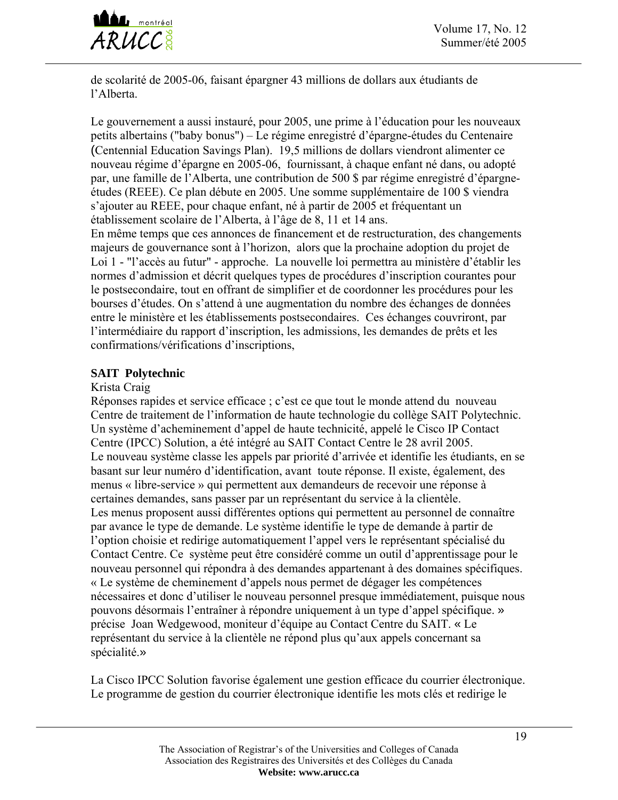

de scolarité de 2005-06, faisant épargner 43 millions de dollars aux étudiants de l'Alberta.

Le gouvernement a aussi instauré, pour 2005, une prime à l'éducation pour les nouveaux petits albertains ("baby bonus") – Le régime enregistré d'épargne-études du Centenaire (Centennial Education Savings Plan). 19,5 millions de dollars viendront alimenter ce nouveau régime d'épargne en 2005-06, fournissant, à chaque enfant né dans, ou adopté par, une famille de l'Alberta, une contribution de 500 \$ par régime enregistré d'épargneétudes (REEE). Ce plan débute en 2005. Une somme supplémentaire de 100 \$ viendra s'ajouter au REEE, pour chaque enfant, né à partir de 2005 et fréquentant un établissement scolaire de l'Alberta, à l'âge de 8, 11 et 14 ans.

En même temps que ces annonces de financement et de restructuration, des changements majeurs de gouvernance sont à l'horizon, alors que la prochaine adoption du projet de Loi 1 - "l'accès au futur" - approche. La nouvelle loi permettra au ministère d'établir les normes d'admission et décrit quelques types de procédures d'inscription courantes pour le postsecondaire, tout en offrant de simplifier et de coordonner les procédures pour les bourses d'études. On s'attend à une augmentation du nombre des échanges de données entre le ministère et les établissements postsecondaires. Ces échanges couvriront, par l'intermédiaire du rapport d'inscription, les admissions, les demandes de prêts et les confirmations/vérifications d'inscriptions,

## **SAIT Polytechnic**

#### Krista Craig

Réponses rapides et service efficace ; c'est ce que tout le monde attend du nouveau Centre de traitement de l'information de haute technologie du collège SAIT Polytechnic. Un système d'acheminement d'appel de haute technicité, appelé le Cisco IP Contact Centre (IPCC) Solution, a été intégré au SAIT Contact Centre le 28 avril 2005. Le nouveau système classe les appels par priorité d'arrivée et identifie les étudiants, en se basant sur leur numéro d'identification, avant toute réponse. Il existe, également, des menus « libre-service » qui permettent aux demandeurs de recevoir une réponse à certaines demandes, sans passer par un représentant du service à la clientèle. Les menus proposent aussi différentes options qui permettent au personnel de connaître par avance le type de demande. Le système identifie le type de demande à partir de l'option choisie et redirige automatiquement l'appel vers le représentant spécialisé du Contact Centre. Ce système peut être considéré comme un outil d'apprentissage pour le nouveau personnel qui répondra à des demandes appartenant à des domaines spécifiques. « Le système de cheminement d'appels nous permet de dégager les compétences nécessaires et donc d'utiliser le nouveau personnel presque immédiatement, puisque nous pouvons désormais l'entraîner à répondre uniquement à un type d'appel spécifique. » précise Joan Wedgewood, moniteur d'équipe au Contact Centre du SAIT. « Le représentant du service à la clientèle ne répond plus qu'aux appels concernant sa spécialité.»

La Cisco IPCC Solution favorise également une gestion efficace du courrier électronique. Le programme de gestion du courrier électronique identifie les mots clés et redirige le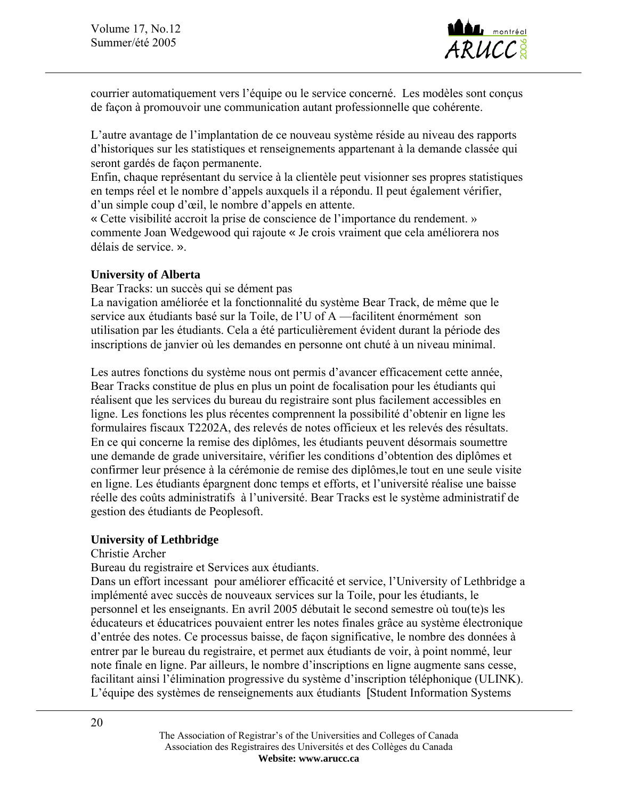

courrier automatiquement vers l'équipe ou le service concerné. Les modèles sont conçus de façon à promouvoir une communication autant professionnelle que cohérente.

L'autre avantage de l'implantation de ce nouveau système réside au niveau des rapports d'historiques sur les statistiques et renseignements appartenant à la demande classée qui seront gardés de façon permanente.

Enfin, chaque représentant du service à la clientèle peut visionner ses propres statistiques en temps réel et le nombre d'appels auxquels il a répondu. Il peut également vérifier, d'un simple coup d'œil, le nombre d'appels en attente.

« Cette visibilité accroit la prise de conscience de l'importance du rendement. » commente Joan Wedgewood qui rajoute « Je crois vraiment que cela améliorera nos délais de service. ».

#### **University of Alberta**

Bear Tracks: un succès qui se dément pas

La navigation améliorée et la fonctionnalité du système Bear Track, de même que le service aux étudiants basé sur la Toile, de l'U of A —facilitent énormément son utilisation par les étudiants. Cela a été particulièrement évident durant la période des inscriptions de janvier où les demandes en personne ont chuté à un niveau minimal.

Les autres fonctions du système nous ont permis d'avancer efficacement cette année, Bear Tracks constitue de plus en plus un point de focalisation pour les étudiants qui réalisent que les services du bureau du registraire sont plus facilement accessibles en ligne. Les fonctions les plus récentes comprennent la possibilité d'obtenir en ligne les formulaires fiscaux T2202A, des relevés de notes officieux et les relevés des résultats. En ce qui concerne la remise des diplômes, les étudiants peuvent désormais soumettre une demande de grade universitaire, vérifier les conditions d'obtention des diplômes et confirmer leur présence à la cérémonie de remise des diplômes,le tout en une seule visite en ligne. Les étudiants épargnent donc temps et efforts, et l'université réalise une baisse réelle des coûts administratifs à l'université. Bear Tracks est le système administratif de gestion des étudiants de Peoplesoft.

#### **University of Lethbridge**

#### Christie Archer

Bureau du registraire et Services aux étudiants.

Dans un effort incessant pour améliorer efficacité et service, l'University of Lethbridge a implémenté avec succès de nouveaux services sur la Toile, pour les étudiants, le personnel et les enseignants. En avril 2005 débutait le second semestre où tou(te)s les éducateurs et éducatrices pouvaient entrer les notes finales grâce au système électronique d'entrée des notes. Ce processus baisse, de façon significative, le nombre des données à entrer par le bureau du registraire, et permet aux étudiants de voir, à point nommé, leur note finale en ligne. Par ailleurs, le nombre d'inscriptions en ligne augmente sans cesse, facilitant ainsi l'élimination progressive du système d'inscription téléphonique (ULINK). L'équipe des systèmes de renseignements aux étudiants [Student Information Systems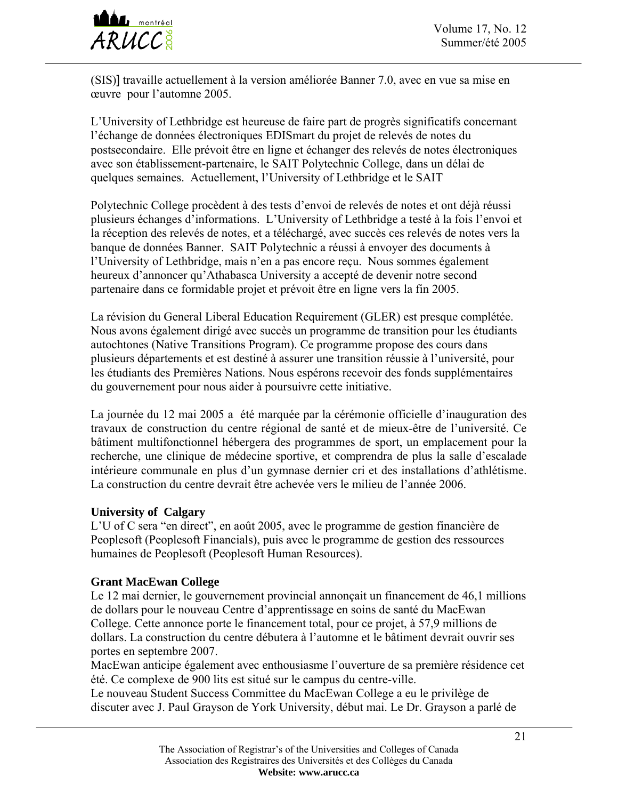

(SIS)] travaille actuellement à la version améliorée Banner 7.0, avec en vue sa mise en œuvre pour l'automne 2005.

L'University of Lethbridge est heureuse de faire part de progrès significatifs concernant l'échange de données électroniques EDISmart du projet de relevés de notes du postsecondaire. Elle prévoit être en ligne et échanger des relevés de notes électroniques avec son établissement-partenaire, le SAIT Polytechnic College, dans un délai de quelques semaines. Actuellement, l'University of Lethbridge et le SAIT

Polytechnic College procèdent à des tests d'envoi de relevés de notes et ont déjà réussi plusieurs échanges d'informations. L'University of Lethbridge a testé à la fois l'envoi et la réception des relevés de notes, et a téléchargé, avec succès ces relevés de notes vers la banque de données Banner. SAIT Polytechnic a réussi à envoyer des documents à l'University of Lethbridge, mais n'en a pas encore reçu. Nous sommes également heureux d'annoncer qu'Athabasca University a accepté de devenir notre second partenaire dans ce formidable projet et prévoit être en ligne vers la fin 2005.

La révision du General Liberal Education Requirement (GLER) est presque complétée. Nous avons également dirigé avec succès un programme de transition pour les étudiants autochtones (Native Transitions Program). Ce programme propose des cours dans plusieurs départements et est destiné à assurer une transition réussie à l'université, pour les étudiants des Premières Nations. Nous espérons recevoir des fonds supplémentaires du gouvernement pour nous aider à poursuivre cette initiative.

La journée du 12 mai 2005 a été marquée par la cérémonie officielle d'inauguration des travaux de construction du centre régional de santé et de mieux-être de l'université. Ce bâtiment multifonctionnel hébergera des programmes de sport, un emplacement pour la recherche, une clinique de médecine sportive, et comprendra de plus la salle d'escalade intérieure communale en plus d'un gymnase dernier cri et des installations d'athlétisme. La construction du centre devrait être achevée vers le milieu de l'année 2006.

### **University of Calgary**

L'U of C sera "en direct", en août 2005, avec le programme de gestion financière de Peoplesoft (Peoplesoft Financials), puis avec le programme de gestion des ressources humaines de Peoplesoft (Peoplesoft Human Resources).

#### **Grant MacEwan College**

Le 12 mai dernier, le gouvernement provincial annonçait un financement de 46,1 millions de dollars pour le nouveau Centre d'apprentissage en soins de santé du MacEwan College. Cette annonce porte le financement total, pour ce projet, à 57,9 millions de dollars. La construction du centre débutera à l'automne et le bâtiment devrait ouvrir ses portes en septembre 2007.

MacEwan anticipe également avec enthousiasme l'ouverture de sa première résidence cet été. Ce complexe de 900 lits est situé sur le campus du centre-ville.

Le nouveau Student Success Committee du MacEwan College a eu le privilège de discuter avec J. Paul Grayson de York University, début mai. Le Dr. Grayson a parlé de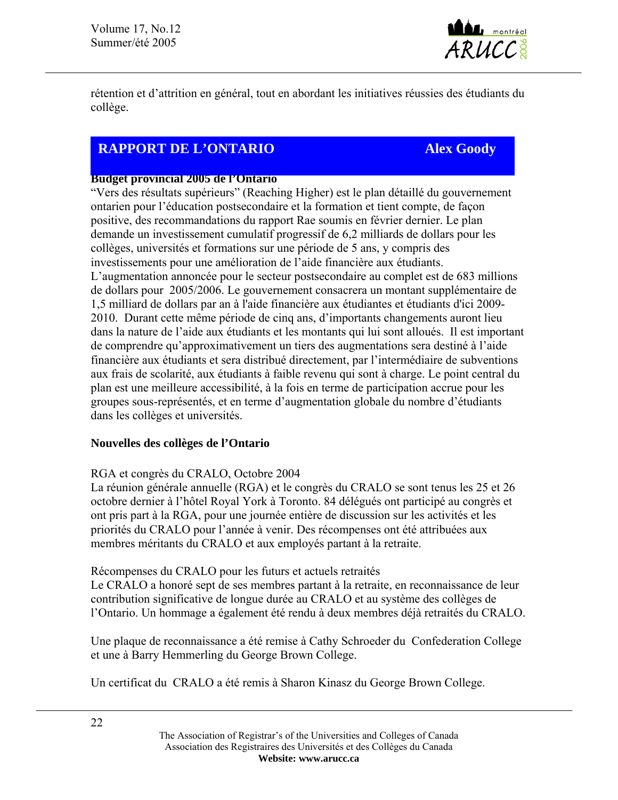

rétention et d'attrition en général, tout en abordant les initiatives réussies des étudiants du collège.

# **RAPPORT DE L'ONTARIO Alex Goody**

#### **Budget provincial 2005 de l'Ontario**

"Vers des résultats supérieurs" (Reaching Higher) est le plan détaillé du gouvernement ontarien pour l'éducation postsecondaire et la formation et tient compte, de façon positive, des recommandations du rapport Rae soumis en février dernier. Le plan demande un investissement cumulatif progressif de 6,2 milliards de dollars pour les collèges, universités et formations sur une période de 5 ans, y compris des investissements pour une amélioration de l'aide financière aux étudiants. L'augmentation annoncée pour le secteur postsecondaire au complet est de 683 millions de dollars pour 2005/2006. Le gouvernement consacrera un montant supplémentaire de 1,5 milliard de dollars par an à l'aide financière aux étudiantes et étudiants d'ici 2009- 2010. Durant cette même période de cinq ans, d'importants changements auront lieu dans la nature de l'aide aux étudiants et les montants qui lui sont alloués. Il est important de comprendre qu'approximativement un tiers des augmentations sera destiné à l'aide financière aux étudiants et sera distribué directement, par l'intermédiaire de subventions aux frais de scolarité, aux étudiants à faible revenu qui sont à charge. Le point central du plan est une meilleure accessibilité, à la fois en terme de participation accrue pour les groupes sous-représentés, et en terme d'augmentation globale du nombre d'étudiants dans les collèges et universités.

### **Nouvelles des collèges de l'Ontario**

### RGA et congrès du CRALO, Octobre 2004

La réunion générale annuelle (RGA) et le congrès du CRALO se sont tenus les 25 et 26 octobre dernier à l'hôtel Royal York à Toronto. 84 délégués ont participé au congrès et ont pris part à la RGA, pour une journée entière de discussion sur les activités et les priorités du CRALO pour l'année à venir. Des récompenses ont été attribuées aux membres méritants du CRALO et aux employés partant à la retraite.

Récompenses du CRALO pour les futurs et actuels retraités

Le CRALO a honoré sept de ses membres partant à la retraite, en reconnaissance de leur contribution significative de longue durée au CRALO et au système des collèges de l'Ontario. Un hommage a également été rendu à deux membres déjà retraités du CRALO.

Une plaque de reconnaissance a été remise à Cathy Schroeder du Confederation College et une à Barry Hemmerling du George Brown College.

Un certificat du CRALO a été remis à Sharon Kinasz du George Brown College.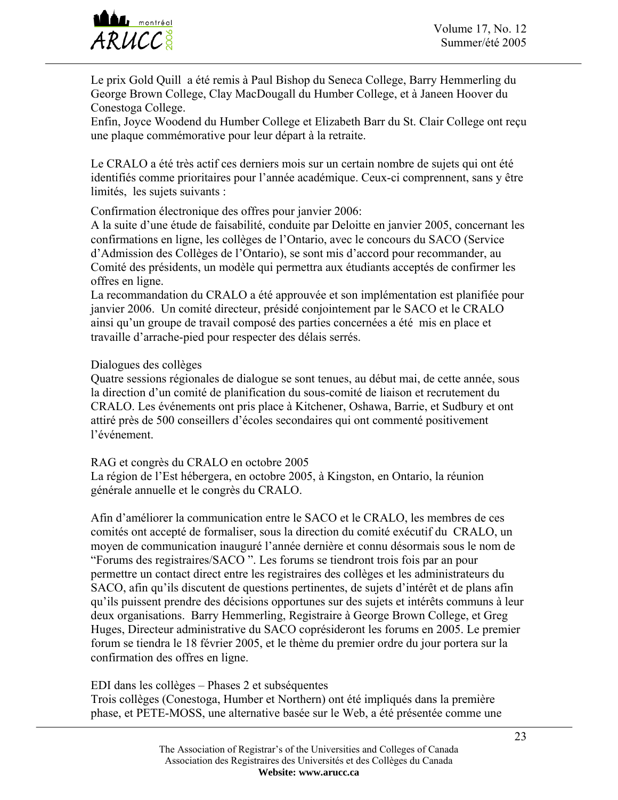

Le prix Gold Quill a été remis à Paul Bishop du Seneca College, Barry Hemmerling du George Brown College, Clay MacDougall du Humber College, et à Janeen Hoover du Conestoga College.

Enfin, Joyce Woodend du Humber College et Elizabeth Barr du St. Clair College ont reçu une plaque commémorative pour leur départ à la retraite.

Le CRALO a été très actif ces derniers mois sur un certain nombre de sujets qui ont été identifiés comme prioritaires pour l'année académique. Ceux-ci comprennent, sans y être limités, les sujets suivants :

Confirmation électronique des offres pour janvier 2006:

A la suite d'une étude de faisabilité, conduite par Deloitte en janvier 2005, concernant les confirmations en ligne, les collèges de l'Ontario, avec le concours du SACO (Service d'Admission des Collèges de l'Ontario), se sont mis d'accord pour recommander, au Comité des présidents, un modèle qui permettra aux étudiants acceptés de confirmer les offres en ligne.

La recommandation du CRALO a été approuvée et son implémentation est planifiée pour janvier 2006. Un comité directeur, présidé conjointement par le SACO et le CRALO ainsi qu'un groupe de travail composé des parties concernées a été mis en place et travaille d'arrache-pied pour respecter des délais serrés.

Dialogues des collèges

Quatre sessions régionales de dialogue se sont tenues, au début mai, de cette année, sous la direction d'un comité de planification du sous-comité de liaison et recrutement du CRALO. Les événements ont pris place à Kitchener, Oshawa, Barrie, et Sudbury et ont attiré près de 500 conseillers d'écoles secondaires qui ont commenté positivement l'événement.

RAG et congrès du CRALO en octobre 2005

La région de l'Est hébergera, en octobre 2005, à Kingston, en Ontario, la réunion générale annuelle et le congrès du CRALO.

Afin d'améliorer la communication entre le SACO et le CRALO, les membres de ces comités ont accepté de formaliser, sous la direction du comité exécutif du CRALO, un moyen de communication inauguré l'année dernière et connu désormais sous le nom de "Forums des registraires/SACO ". Les forums se tiendront trois fois par an pour permettre un contact direct entre les registraires des collèges et les administrateurs du SACO, afin qu'ils discutent de questions pertinentes, de sujets d'intérêt et de plans afin qu'ils puissent prendre des décisions opportunes sur des sujets et intérêts communs à leur deux organisations. Barry Hemmerling, Registraire à George Brown College, et Greg Huges, Directeur administrative du SACO coprésideront les forums en 2005. Le premier forum se tiendra le 18 février 2005, et le thème du premier ordre du jour portera sur la confirmation des offres en ligne.

EDI dans les collèges – Phases 2 et subséquentes

Trois collèges (Conestoga, Humber et Northern) ont été impliqués dans la première phase, et PETE-MOSS, une alternative basée sur le Web, a été présentée comme une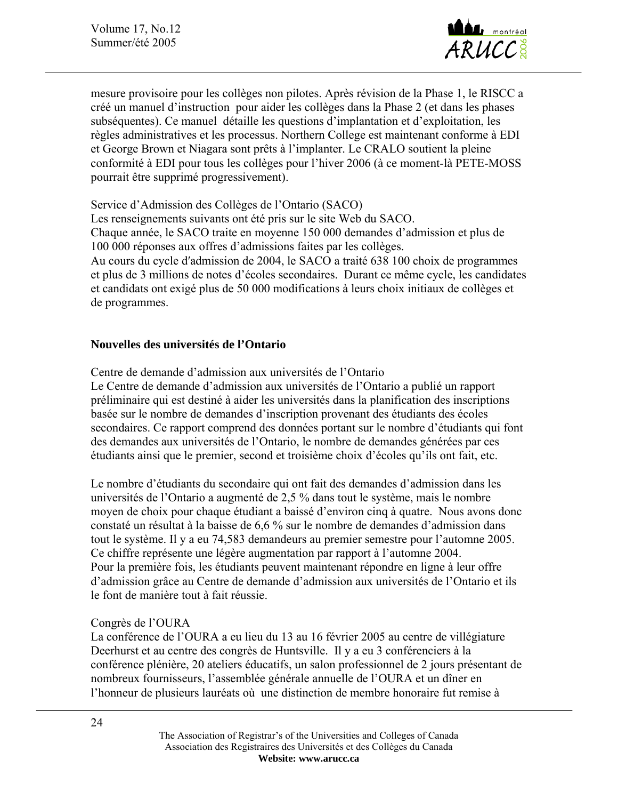Volume 17, No.12 Summer/été 2005



mesure provisoire pour les collèges non pilotes. Après révision de la Phase 1, le RISCC a créé un manuel d'instruction pour aider les collèges dans la Phase 2 (et dans les phases subséquentes). Ce manuel détaille les questions d'implantation et d'exploitation, les règles administratives et les processus. Northern College est maintenant conforme à EDI et George Brown et Niagara sont prêts à l'implanter. Le CRALO soutient la pleine conformité à EDI pour tous les collèges pour l'hiver 2006 (à ce moment-là PETE-MOSS pourrait être supprimé progressivement).

Service d'Admission des Collèges de l'Ontario (SACO)

Les renseignements suivants ont été pris sur le site Web du SACO. Chaque année, le SACO traite en moyenne 150 000 demandes d'admission et plus de 100 000 réponses aux offres d'admissions faites par les collèges. Au cours du cycle d′admission de 2004, le SACO a traité 638 100 choix de programmes et plus de 3 millions de notes d'écoles secondaires. Durant ce même cycle, les candidates et candidats ont exigé plus de 50 000 modifications à leurs choix initiaux de collèges et de programmes.

#### **Nouvelles des universités de l'Ontario**

Centre de demande d'admission aux universités de l'Ontario

Le Centre de demande d'admission aux universités de l'Ontario a publié un rapport préliminaire qui est destiné à aider les universités dans la planification des inscriptions basée sur le nombre de demandes d'inscription provenant des étudiants des écoles secondaires. Ce rapport comprend des données portant sur le nombre d'étudiants qui font des demandes aux universités de l'Ontario, le nombre de demandes générées par ces étudiants ainsi que le premier, second et troisième choix d'écoles qu'ils ont fait, etc.

Le nombre d'étudiants du secondaire qui ont fait des demandes d'admission dans les universités de l'Ontario a augmenté de 2,5 % dans tout le système, mais le nombre moyen de choix pour chaque étudiant a baissé d'environ cinq à quatre. Nous avons donc constaté un résultat à la baisse de 6,6 % sur le nombre de demandes d'admission dans tout le système. Il y a eu 74,583 demandeurs au premier semestre pour l'automne 2005. Ce chiffre représente une légère augmentation par rapport à l'automne 2004. Pour la première fois, les étudiants peuvent maintenant répondre en ligne à leur offre d'admission grâce au Centre de demande d'admission aux universités de l'Ontario et ils le font de manière tout à fait réussie.

#### Congrès de l'OURA

La conférence de l'OURA a eu lieu du 13 au 16 février 2005 au centre de villégiature Deerhurst et au centre des congrès de Huntsville. Il y a eu 3 conférenciers à la conférence plénière, 20 ateliers éducatifs, un salon professionnel de 2 jours présentant de nombreux fournisseurs, l'assemblée générale annuelle de l'OURA et un dîner en l'honneur de plusieurs lauréats où une distinction de membre honoraire fut remise à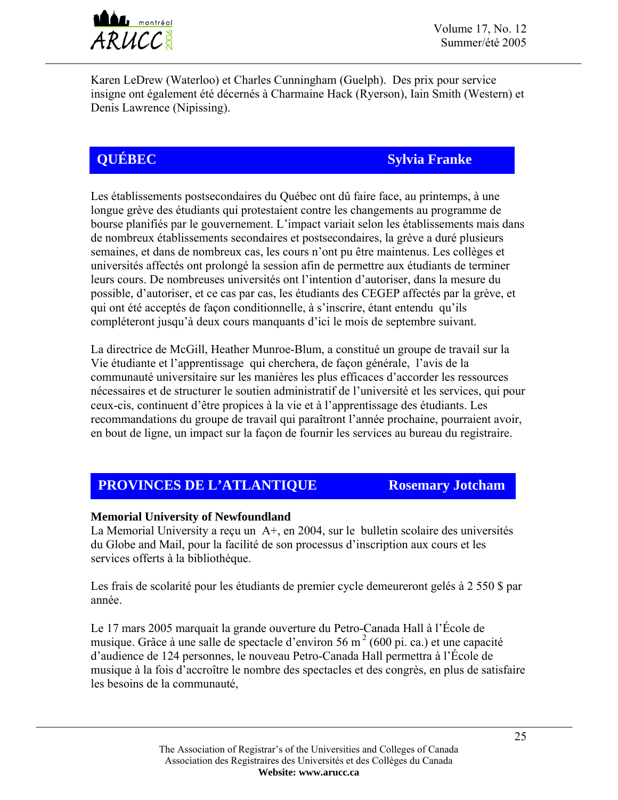

Karen LeDrew (Waterloo) et Charles Cunningham (Guelph). Des prix pour service insigne ont également été décernés à Charmaine Hack (Ryerson), Iain Smith (Western) et Denis Lawrence (Nipissing).

# **QUÉBEC Sylvia Franke**

Les établissements postsecondaires du Québec ont dû faire face, au printemps, à une longue grève des étudiants qui protestaient contre les changements au programme de bourse planifiés par le gouvernement. L'impact variait selon les établissements mais dans de nombreux établissements secondaires et postsecondaires, la grève a duré plusieurs semaines, et dans de nombreux cas, les cours n'ont pu être maintenus. Les collèges et universités affectés ont prolongé la session afin de permettre aux étudiants de terminer leurs cours. De nombreuses universités ont l'intention d'autoriser, dans la mesure du possible, d'autoriser, et ce cas par cas, les étudiants des CEGEP affectés par la grève, et qui ont été acceptés de façon conditionnelle, à s'inscrire, étant entendu qu'ils compléteront jusqu'à deux cours manquants d'ici le mois de septembre suivant.

La directrice de McGill, Heather Munroe-Blum, a constitué un groupe de travail sur la Vie étudiante et l'apprentissage qui cherchera, de façon générale, l'avis de la communauté universitaire sur les manières les plus efficaces d'accorder les ressources nécessaires et de structurer le soutien administratif de l'université et les services, qui pour ceux-cis, continuent d'être propices à la vie et à l'apprentissage des étudiants. Les recommandations du groupe de travail qui paraîtront l'année prochaine, pourraient avoir, en bout de ligne, un impact sur la façon de fournir les services au bureau du registraire.

# **PROVINCES DE L'ATLANTIQUE Rosemary Jotcham**

## **Memorial University of Newfoundland**

La Memorial University a reçu un A+, en 2004, sur le bulletin scolaire des universités du Globe and Mail, pour la facilité de son processus d'inscription aux cours et les services offerts à la bibliothèque.

Les frais de scolarité pour les étudiants de premier cycle demeureront gelés à 2 550 \$ par année.

Le 17 mars 2005 marquait la grande ouverture du Petro-Canada Hall à l'École de musique. Grâce à une salle de spectacle d'environ 56 m<sup>2</sup> (600 pi. ca.) et une capacité d'audience de 124 personnes, le nouveau Petro-Canada Hall permettra à l'École de musique à la fois d'accroître le nombre des spectacles et des congrès, en plus de satisfaire les besoins de la communauté,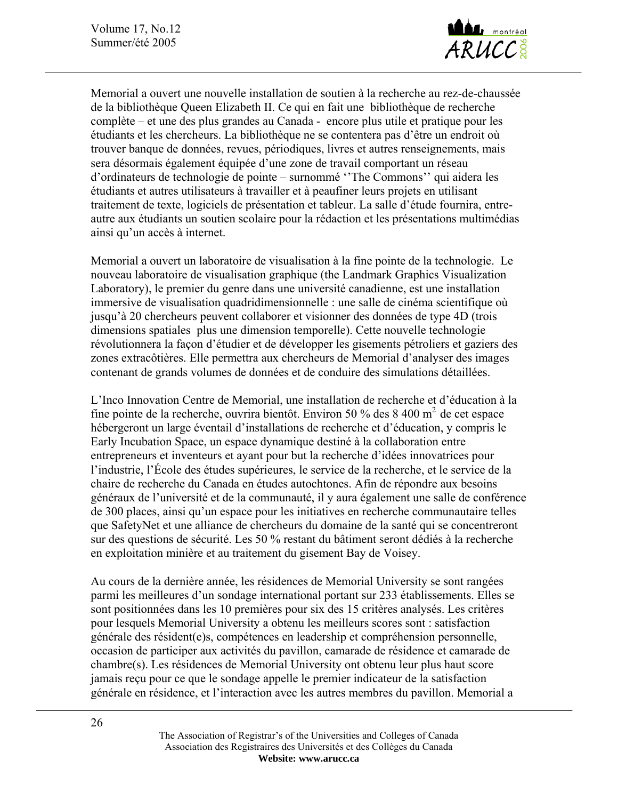

Memorial a ouvert une nouvelle installation de soutien à la recherche au rez-de-chaussée de la bibliothèque Queen Elizabeth II. Ce qui en fait une bibliothèque de recherche complète – et une des plus grandes au Canada - encore plus utile et pratique pour les étudiants et les chercheurs. La bibliothèque ne se contentera pas d'être un endroit où trouver banque de données, revues, périodiques, livres et autres renseignements, mais sera désormais également équipée d'une zone de travail comportant un réseau d'ordinateurs de technologie de pointe – surnommé ''The Commons'' qui aidera les étudiants et autres utilisateurs à travailler et à peaufiner leurs projets en utilisant traitement de texte, logiciels de présentation et tableur. La salle d'étude fournira, entreautre aux étudiants un soutien scolaire pour la rédaction et les présentations multimédias ainsi qu'un accès à internet.

Memorial a ouvert un laboratoire de visualisation à la fine pointe de la technologie. Le nouveau laboratoire de visualisation graphique (the Landmark Graphics Visualization Laboratory), le premier du genre dans une université canadienne, est une installation immersive de visualisation quadridimensionnelle : une salle de cinéma scientifique où jusqu'à 20 chercheurs peuvent collaborer et visionner des données de type 4D (trois dimensions spatiales plus une dimension temporelle). Cette nouvelle technologie révolutionnera la façon d'étudier et de développer les gisements pétroliers et gaziers des zones extracôtières. Elle permettra aux chercheurs de Memorial d'analyser des images contenant de grands volumes de données et de conduire des simulations détaillées.

L'Inco Innovation Centre de Memorial, une installation de recherche et d'éducation à la fine pointe de la recherche, ouvrira bientôt. Environ 50 % des 8 400 m<sup>2</sup> de cet espace hébergeront un large éventail d'installations de recherche et d'éducation, y compris le Early Incubation Space, un espace dynamique destiné à la collaboration entre entrepreneurs et inventeurs et ayant pour but la recherche d'idées innovatrices pour l'industrie, l'École des études supérieures, le service de la recherche, et le service de la chaire de recherche du Canada en études autochtones. Afin de répondre aux besoins généraux de l'université et de la communauté, il y aura également une salle de conférence de 300 places, ainsi qu'un espace pour les initiatives en recherche communautaire telles que SafetyNet et une alliance de chercheurs du domaine de la santé qui se concentreront sur des questions de sécurité. Les 50 % restant du bâtiment seront dédiés à la recherche en exploitation minière et au traitement du gisement Bay de Voisey.

Au cours de la dernière année, les résidences de Memorial University se sont rangées parmi les meilleures d'un sondage international portant sur 233 établissements. Elles se sont positionnées dans les 10 premières pour six des 15 critères analysés. Les critères pour lesquels Memorial University a obtenu les meilleurs scores sont : satisfaction générale des résident(e)s, compétences en leadership et compréhension personnelle, occasion de participer aux activités du pavillon, camarade de résidence et camarade de chambre(s). Les résidences de Memorial University ont obtenu leur plus haut score jamais reçu pour ce que le sondage appelle le premier indicateur de la satisfaction générale en résidence, et l'interaction avec les autres membres du pavillon. Memorial a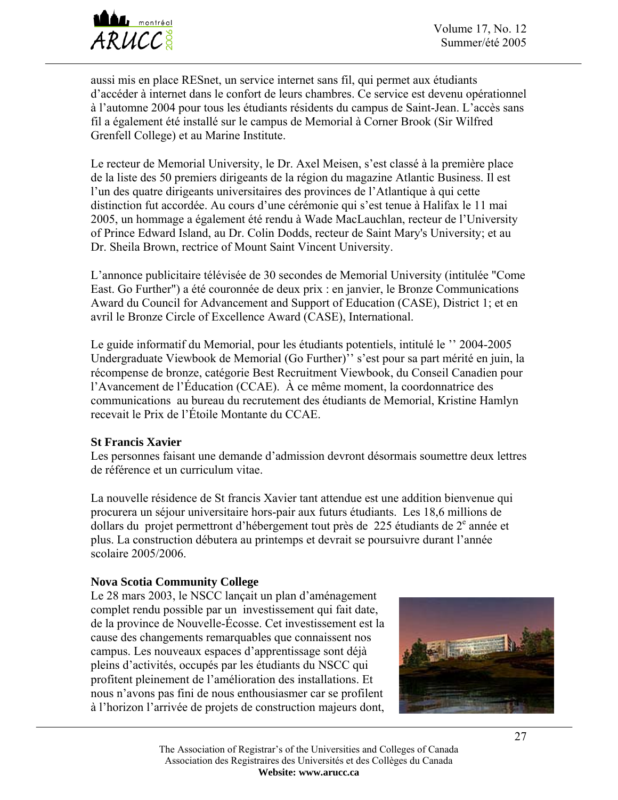

aussi mis en place RESnet, un service internet sans fil, qui permet aux étudiants d'accéder à internet dans le confort de leurs chambres. Ce service est devenu opérationnel à l'automne 2004 pour tous les étudiants résidents du campus de Saint-Jean. L'accès sans fil a également été installé sur le campus de Memorial à Corner Brook (Sir Wilfred Grenfell College) et au Marine Institute.

Le recteur de Memorial University, le Dr. Axel Meisen, s'est classé à la première place de la liste des 50 premiers dirigeants de la région du magazine Atlantic Business. Il est l'un des quatre dirigeants universitaires des provinces de l'Atlantique à qui cette distinction fut accordée. Au cours d'une cérémonie qui s'est tenue à Halifax le 11 mai 2005, un hommage a également été rendu à Wade MacLauchlan, recteur de l'University of Prince Edward Island, au Dr. Colin Dodds, recteur de Saint Mary's University; et au Dr. Sheila Brown, rectrice of Mount Saint Vincent University.

L'annonce publicitaire télévisée de 30 secondes de Memorial University (intitulée "Come East. Go Further") a été couronnée de deux prix : en janvier, le Bronze Communications Award du Council for Advancement and Support of Education (CASE), District 1; et en avril le Bronze Circle of Excellence Award (CASE), International.

Le guide informatif du Memorial, pour les étudiants potentiels, intitulé le '' 2004-2005 Undergraduate Viewbook de Memorial (Go Further)'' s'est pour sa part mérité en juin, la récompense de bronze, catégorie Best Recruitment Viewbook, du Conseil Canadien pour l'Avancement de l'Éducation (CCAE). À ce même moment, la coordonnatrice des communications au bureau du recrutement des étudiants de Memorial, Kristine Hamlyn recevait le Prix de l'Étoile Montante du CCAE.

#### **St Francis Xavier**

Les personnes faisant une demande d'admission devront désormais soumettre deux lettres de référence et un curriculum vitae.

La nouvelle résidence de St francis Xavier tant attendue est une addition bienvenue qui procurera un séjour universitaire hors-pair aux futurs étudiants. Les 18,6 millions de dollars du projet permettront d'hébergement tout près de 225 étudiants de  $2<sup>e</sup>$  année et plus. La construction débutera au printemps et devrait se poursuivre durant l'année scolaire 2005/2006.

#### **Nova Scotia Community College**

Le 28 mars 2003, le NSCC lançait un plan d'aménagement complet rendu possible par un investissement qui fait date, de la province de Nouvelle-Écosse. Cet investissement est la cause des changements remarquables que connaissent nos campus. Les nouveaux espaces d'apprentissage sont déjà pleins d'activités, occupés par les étudiants du NSCC qui profitent pleinement de l'amélioration des installations. Et nous n'avons pas fini de nous enthousiasmer car se profilent à l'horizon l'arrivée de projets de construction majeurs dont,

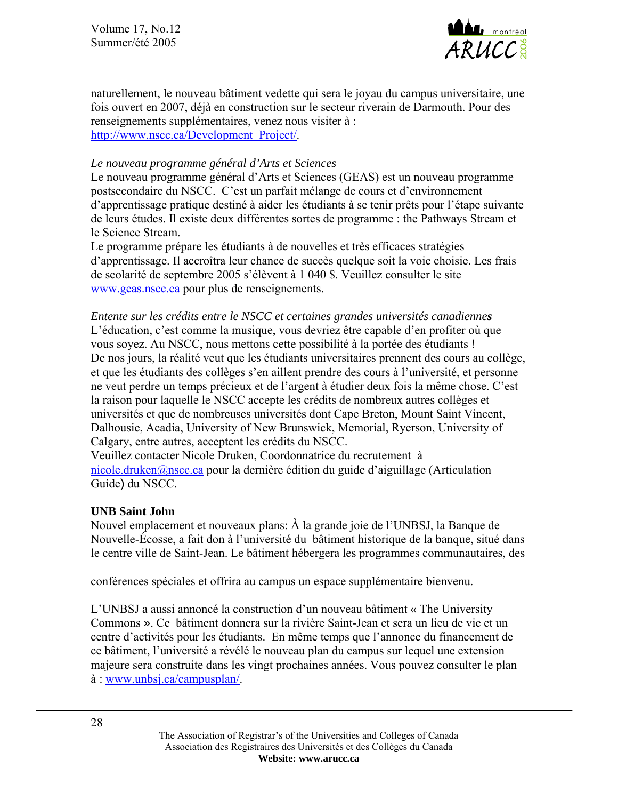Volume 17, No.12 Summer/été 2005



naturellement, le nouveau bâtiment vedette qui sera le joyau du campus universitaire, une fois ouvert en 2007, déjà en construction sur le secteur riverain de Darmouth. Pour des renseignements supplémentaires, venez nous visiter à : [http://www.nscc.ca/Development\\_Project/.](http://www.nscc.ca/Development_Project/)

#### *Le nouveau programme général d'Arts et Sciences*

Le nouveau programme général d'Arts et Sciences (GEAS) est un nouveau programme postsecondaire du NSCC. C'est un parfait mélange de cours et d'environnement d'apprentissage pratique destiné à aider les étudiants à se tenir prêts pour l'étape suivante de leurs études. Il existe deux différentes sortes de programme : the Pathways Stream et le Science Stream.

Le programme prépare les étudiants à de nouvelles et très efficaces stratégies d'apprentissage. Il accroîtra leur chance de succès quelque soit la voie choisie. Les frais de scolarité de septembre 2005 s'élèvent à 1 040 \$. Veuillez consulter le site [www.geas.nscc.ca](http://www.geas.nscc.ca/) pour plus de renseignements.

*Entente sur les crédits entre le NSCC et certaines grandes universités canadiennes*  L'éducation, c'est comme la musique, vous devriez être capable d'en profiter où que vous soyez. Au NSCC, nous mettons cette possibilité à la portée des étudiants ! De nos jours, la réalité veut que les étudiants universitaires prennent des cours au collège, et que les étudiants des collèges s'en aillent prendre des cours à l'université, et personne ne veut perdre un temps précieux et de l'argent à étudier deux fois la même chose. C'est la raison pour laquelle le NSCC accepte les crédits de nombreux autres collèges et universités et que de nombreuses universités dont Cape Breton, Mount Saint Vincent, Dalhousie, Acadia, University of New Brunswick, Memorial, Ryerson, University of Calgary, entre autres, acceptent les crédits du NSCC.

Veuillez contacter Nicole Druken, Coordonnatrice du recrutement à [nicole.druken@nscc.ca](mailto:nicole.druken@nscc.ca) pour la dernière édition du guide d'aiguillage (Articulation Guide) du NSCC.

#### **UNB Saint John**

Nouvel emplacement et nouveaux plans: À la grande joie de l'UNBSJ, la Banque de Nouvelle-Écosse, a fait don à l'université du bâtiment historique de la banque, situé dans le centre ville de Saint-Jean. Le bâtiment hébergera les programmes communautaires, des

conférences spéciales et offrira au campus un espace supplémentaire bienvenu.

L'UNBSJ a aussi annoncé la construction d'un nouveau bâtiment « The University Commons ». Ce bâtiment donnera sur la rivière Saint-Jean et sera un lieu de vie et un centre d'activités pour les étudiants. En même temps que l'annonce du financement de ce bâtiment, l'université a révélé le nouveau plan du campus sur lequel une extension majeure sera construite dans les vingt prochaines années. Vous pouvez consulter le plan à : www.unbsj.ca/campusplan/.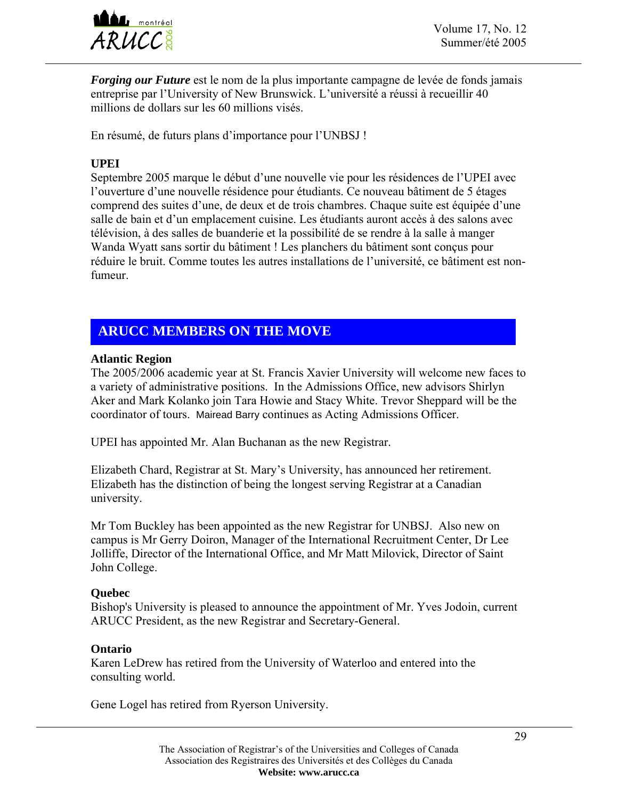

*Forging our Future* est le nom de la plus importante campagne de levée de fonds jamais entreprise par l'University of New Brunswick. L'université a réussi à recueillir 40 millions de dollars sur les 60 millions visés.

En résumé, de futurs plans d'importance pour l'UNBSJ !

### **UPEI**

Septembre 2005 marque le début d'une nouvelle vie pour les résidences de l'UPEI avec l'ouverture d'une nouvelle résidence pour étudiants. Ce nouveau bâtiment de 5 étages comprend des suites d'une, de deux et de trois chambres. Chaque suite est équipée d'une salle de bain et d'un emplacement cuisine. Les étudiants auront accès à des salons avec télévision, à des salles de buanderie et la possibilité de se rendre à la salle à manger Wanda Wyatt sans sortir du bâtiment ! Les planchers du bâtiment sont conçus pour réduire le bruit. Comme toutes les autres installations de l'université, ce bâtiment est nonfumeur.

# **ARUCC MEMBERS ON THE MOVE**

#### **Atlantic Region**

The 2005/2006 academic year at St. Francis Xavier University will welcome new faces to a variety of administrative positions. In the Admissions Office, new advisors Shirlyn Aker and Mark Kolanko join Tara Howie and Stacy White. Trevor Sheppard will be the coordinator of tours. Mairead Barry continues as Acting Admissions Officer.

UPEI has appointed Mr. Alan Buchanan as the new Registrar.

Elizabeth Chard, Registrar at St. Mary's University, has announced her retirement. Elizabeth has the distinction of being the longest serving Registrar at a Canadian university.

Mr Tom Buckley has been appointed as the new Registrar for UNBSJ. Also new on campus is Mr Gerry Doiron, Manager of the International Recruitment Center, Dr Lee Jolliffe, Director of the International Office, and Mr Matt Milovick, Director of Saint John College.

#### **Quebec**

Bishop's University is pleased to announce the appointment of Mr. Yves Jodoin, current ARUCC President, as the new Registrar and Secretary-General.

### **Ontario**

Karen LeDrew has retired from the University of Waterloo and entered into the consulting world.

Gene Logel has retired from Ryerson University.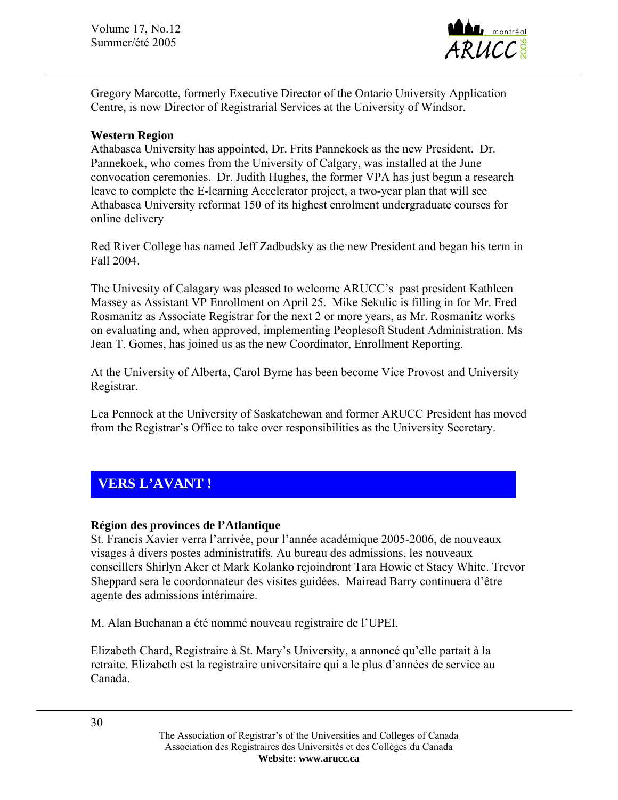

Gregory Marcotte, formerly Executive Director of the Ontario University Application Centre, is now Director of Registrarial Services at the University of Windsor.

#### **Western Region**

Athabasca University has appointed, Dr. Frits Pannekoek as the new President. Dr. Pannekoek, who comes from the University of Calgary, was installed at the June convocation ceremonies. Dr. Judith Hughes, the former VPA has just begun a research leave to complete the E-learning Accelerator project, a two-year plan that will see Athabasca University reformat 150 of its highest enrolment undergraduate courses for online delivery

Red River College has named Jeff Zadbudsky as the new President and began his term in Fall 2004.

The Univesity of Calagary was pleased to welcome ARUCC's past president Kathleen Massey as Assistant VP Enrollment on April 25. Mike Sekulic is filling in for Mr. Fred Rosmanitz as Associate Registrar for the next 2 or more years, as Mr. Rosmanitz works on evaluating and, when approved, implementing Peoplesoft Student Administration. Ms Jean T. Gomes, has joined us as the new Coordinator, Enrollment Reporting.

At the University of Alberta, Carol Byrne has been become Vice Provost and University Registrar.

Lea Pennock at the University of Saskatchewan and former ARUCC President has moved from the Registrar's Office to take over responsibilities as the University Secretary.

# **VERS L'AVANT !**

### **Région des provinces de l'Atlantique**

St. Francis Xavier verra l'arrivée, pour l'année académique 2005-2006, de nouveaux visages à divers postes administratifs. Au bureau des admissions, les nouveaux conseillers Shirlyn Aker et Mark Kolanko rejoindront Tara Howie et Stacy White. Trevor Sheppard sera le coordonnateur des visites guidées. Mairead Barry continuera d'être agente des admissions intérimaire.

M. Alan Buchanan a été nommé nouveau registraire de l'UPEI.

Elizabeth Chard, Registraire à St. Mary's University, a annoncé qu'elle partait à la retraite. Elizabeth est la registraire universitaire qui a le plus d'années de service au Canada.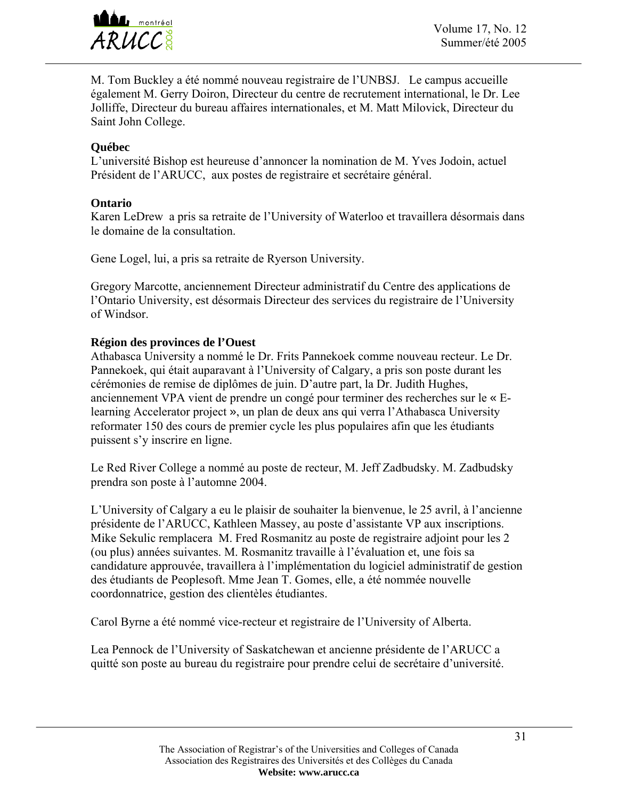

M. Tom Buckley a été nommé nouveau registraire de l'UNBSJ. Le campus accueille également M. Gerry Doiron, Directeur du centre de recrutement international, le Dr. Lee Jolliffe, Directeur du bureau affaires internationales, et M. Matt Milovick, Directeur du Saint John College.

### **Québec**

L'université Bishop est heureuse d'annoncer la nomination de M. Yves Jodoin, actuel Président de l'ARUCC, aux postes de registraire et secrétaire général.

### **Ontario**

Karen LeDrew a pris sa retraite de l'University of Waterloo et travaillera désormais dans le domaine de la consultation.

Gene Logel, lui, a pris sa retraite de Ryerson University.

Gregory Marcotte, anciennement Directeur administratif du Centre des applications de l'Ontario University, est désormais Directeur des services du registraire de l'University of Windsor.

### **Région des provinces de l'Ouest**

Athabasca University a nommé le Dr. Frits Pannekoek comme nouveau recteur. Le Dr. Pannekoek, qui était auparavant à l'University of Calgary, a pris son poste durant les cérémonies de remise de diplômes de juin. D'autre part, la Dr. Judith Hughes, anciennement VPA vient de prendre un congé pour terminer des recherches sur le « Elearning Accelerator project », un plan de deux ans qui verra l'Athabasca University reformater 150 des cours de premier cycle les plus populaires afin que les étudiants puissent s'y inscrire en ligne.

Le Red River College a nommé au poste de recteur, M. Jeff Zadbudsky. M. Zadbudsky prendra son poste à l'automne 2004.

L'University of Calgary a eu le plaisir de souhaiter la bienvenue, le 25 avril, à l'ancienne présidente de l'ARUCC, Kathleen Massey, au poste d'assistante VP aux inscriptions. Mike Sekulic remplacera M. Fred Rosmanitz au poste de registraire adjoint pour les 2 (ou plus) années suivantes. M. Rosmanitz travaille à l'évaluation et, une fois sa candidature approuvée, travaillera à l'implémentation du logiciel administratif de gestion des étudiants de Peoplesoft. Mme Jean T. Gomes, elle, a été nommée nouvelle coordonnatrice, gestion des clientèles étudiantes.

Carol Byrne a été nommé vice-recteur et registraire de l'University of Alberta.

Lea Pennock de l'University of Saskatchewan et ancienne présidente de l'ARUCC a quitté son poste au bureau du registraire pour prendre celui de secrétaire d'université.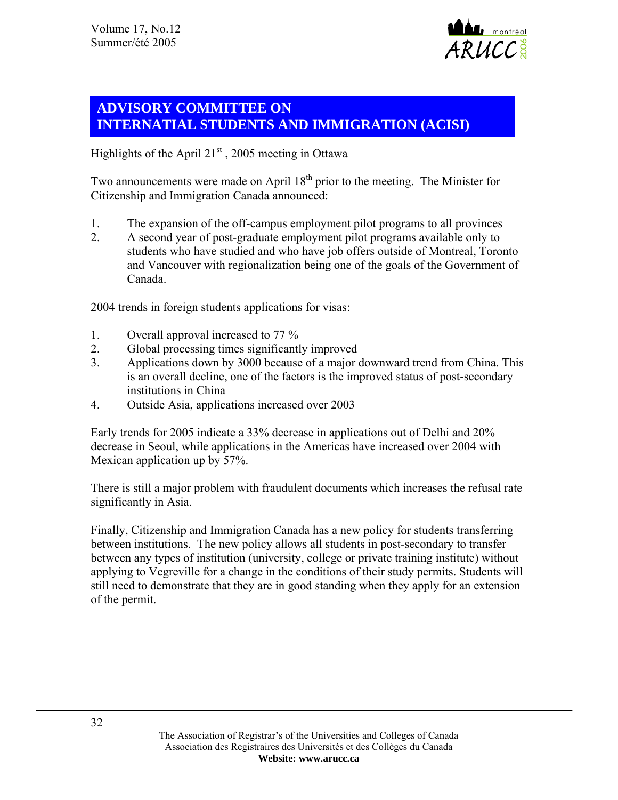

# **ADVISORY COMMITTEE ON INTERNATIAL STUDENTS AND IMMIGRATION (ACISI)**

Highlights of the April  $21<sup>st</sup>$ , 2005 meeting in Ottawa

Two announcements were made on April  $18<sup>th</sup>$  prior to the meeting. The Minister for Citizenship and Immigration Canada announced:

- 1. The expansion of the off-campus employment pilot programs to all provinces
- 2. A second year of post-graduate employment pilot programs available only to students who have studied and who have job offers outside of Montreal, Toronto and Vancouver with regionalization being one of the goals of the Government of Canada.

2004 trends in foreign students applications for visas:

- 1. Overall approval increased to 77 %
- 2. Global processing times significantly improved
- 3. Applications down by 3000 because of a major downward trend from China. This is an overall decline, one of the factors is the improved status of post-secondary institutions in China
- 4. Outside Asia, applications increased over 2003

Early trends for 2005 indicate a 33% decrease in applications out of Delhi and 20% decrease in Seoul, while applications in the Americas have increased over 2004 with Mexican application up by 57%.

There is still a major problem with fraudulent documents which increases the refusal rate significantly in Asia.

Finally, Citizenship and Immigration Canada has a new policy for students transferring between institutions. The new policy allows all students in post-secondary to transfer between any types of institution (university, college or private training institute) without applying to Vegreville for a change in the conditions of their study permits. Students will still need to demonstrate that they are in good standing when they apply for an extension of the permit.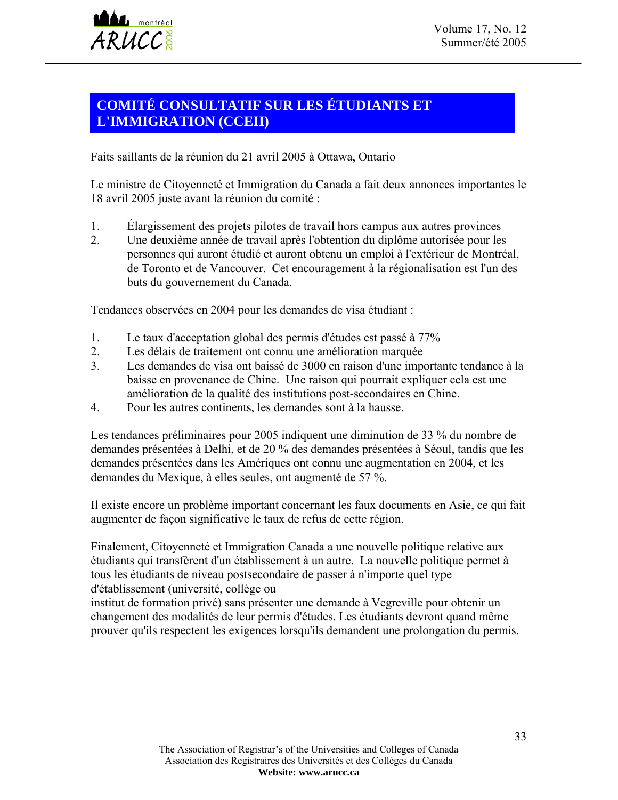# **COMITÉ CONSULTATIF SUR LES ÉTUDIANTS ET L'IMMIGRATION (CCEII)**

Faits saillants de la réunion du 21 avril 2005 à Ottawa, Ontario

Le ministre de Citoyenneté et Immigration du Canada a fait deux annonces importantes le 18 avril 2005 juste avant la réunion du comité :

- 1. Élargissement des projets pilotes de travail hors campus aux autres provinces<br>2. Une deuxième année de travail après l'obtention du diplôme autorisée pour les
- 2. Une deuxième année de travail après l'obtention du diplôme autorisée pour les personnes qui auront étudié et auront obtenu un emploi à l'extérieur de Montréal, de Toronto et de Vancouver. Cet encouragement à la régionalisation est l'un des buts du gouvernement du Canada.

Tendances observées en 2004 pour les demandes de visa étudiant :

- 1. Le taux d'acceptation global des permis d'études est passé à 77%
- 2. Les délais de traitement ont connu une amélioration marquée
- 3. Les demandes de visa ont baissé de 3000 en raison d'une importante tendance à la baisse en provenance de Chine. Une raison qui pourrait expliquer cela est une amélioration de la qualité des institutions post-secondaires en Chine.
- 4. Pour les autres continents, les demandes sont à la hausse.

Les tendances préliminaires pour 2005 indiquent une diminution de 33 % du nombre de demandes présentées à Delhi, et de 20 % des demandes présentées à Séoul, tandis que les demandes présentées dans les Amériques ont connu une augmentation en 2004, et les demandes du Mexique, à elles seules, ont augmenté de 57 %.

Il existe encore un problème important concernant les faux documents en Asie, ce qui fait augmenter de façon significative le taux de refus de cette région.

Finalement, Citoyenneté et Immigration Canada a une nouvelle politique relative aux étudiants qui transfèrent d'un établissement à un autre. La nouvelle politique permet à tous les étudiants de niveau postsecondaire de passer à n'importe quel type d'établissement (université, collège ou

institut de formation privé) sans présenter une demande à Vegreville pour obtenir un changement des modalités de leur permis d'études. Les étudiants devront quand même prouver qu'ils respectent les exigences lorsqu'ils demandent une prolongation du permis.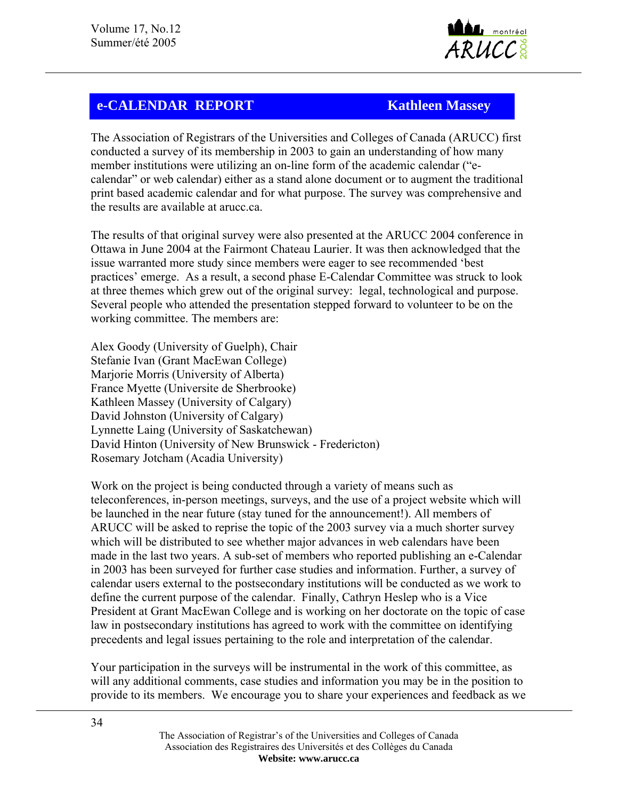

# **e-CALENDAR REPORT Kathleen Massey**

The Association of Registrars of the Universities and Colleges of Canada (ARUCC) first conducted a survey of its membership in 2003 to gain an understanding of how many member institutions were utilizing an on-line form of the academic calendar ("ecalendar" or web calendar) either as a stand alone document or to augment the traditional print based academic calendar and for what purpose. The survey was comprehensive and the results are available at arucc.ca.

The results of that original survey were also presented at the ARUCC 2004 conference in Ottawa in June 2004 at the Fairmont Chateau Laurier. It was then acknowledged that the issue warranted more study since members were eager to see recommended 'best practices' emerge. As a result, a second phase E-Calendar Committee was struck to look at three themes which grew out of the original survey: legal, technological and purpose. Several people who attended the presentation stepped forward to volunteer to be on the working committee. The members are:

Alex Goody (University of Guelph), Chair Stefanie Ivan (Grant MacEwan College) Marjorie Morris (University of Alberta) France Myette (Universite de Sherbrooke) Kathleen Massey (University of Calgary) David Johnston (University of Calgary) Lynnette Laing (University of Saskatchewan) David Hinton (University of New Brunswick - Fredericton) Rosemary Jotcham (Acadia University)

Work on the project is being conducted through a variety of means such as teleconferences, in-person meetings, surveys, and the use of a project website which will be launched in the near future (stay tuned for the announcement!). All members of ARUCC will be asked to reprise the topic of the 2003 survey via a much shorter survey which will be distributed to see whether major advances in web calendars have been made in the last two years. A sub-set of members who reported publishing an e-Calendar in 2003 has been surveyed for further case studies and information. Further, a survey of calendar users external to the postsecondary institutions will be conducted as we work to define the current purpose of the calendar. Finally, Cathryn Heslep who is a Vice President at Grant MacEwan College and is working on her doctorate on the topic of case law in postsecondary institutions has agreed to work with the committee on identifying precedents and legal issues pertaining to the role and interpretation of the calendar.

Your participation in the surveys will be instrumental in the work of this committee, as will any additional comments, case studies and information you may be in the position to provide to its members. We encourage you to share your experiences and feedback as we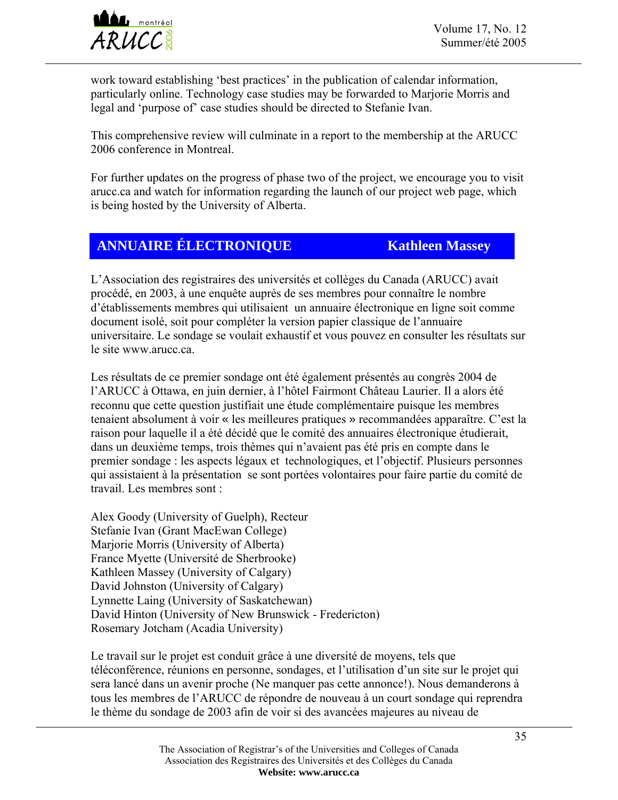

Volume 17, No. 12  $ARUCC<sub>8</sub><sup>8</sup>$  Summer/été 2005

work toward establishing 'best practices' in the publication of calendar information, particularly online. Technology case studies may be forwarded to Marjorie Morris and legal and 'purpose of' case studies should be directed to Stefanie Ivan.

This comprehensive review will culminate in a report to the membership at the ARUCC 2006 conference in Montreal.

For further updates on the progress of phase two of the project, we encourage you to visit arucc.ca and watch for information regarding the launch of our project web page, which is being hosted by the University of Alberta.

# **ANNUAIRE ÉLECTRONIQUE Kathleen Massey**

L'Association des registraires des universités et collèges du Canada (ARUCC) avait procédé, en 2003, à une enquête auprès de ses membres pour connaître le nombre d'établissements membres qui utilisaient un annuaire électronique en ligne soit comme document isolé, soit pour compléter la version papier classique de l'annuaire universitaire. Le sondage se voulait exhaustif et vous pouvez en consulter les résultats sur le site www.arucc.ca.

Les résultats de ce premier sondage ont été également présentés au congrès 2004 de l'ARUCC à Ottawa, en juin dernier, à l'hôtel Fairmont Château Laurier. Il a alors été reconnu que cette question justifiait une étude complémentaire puisque les membres tenaient absolument à voir « les meilleures pratiques » recommandées apparaître. C'est la raison pour laquelle il a été décidé que le comité des annuaires électronique étudierait, dans un deuxième temps, trois thèmes qui n'avaient pas été pris en compte dans le premier sondage : les aspects légaux et technologiques, et l'objectif. Plusieurs personnes qui assistaient à la présentation se sont portées volontaires pour faire partie du comité de travail. Les membres sont :

Alex Goody (University of Guelph), Recteur Stefanie Ivan (Grant MacEwan College) Marjorie Morris (University of Alberta) France Myette (Université de Sherbrooke) Kathleen Massey (University of Calgary) David Johnston (University of Calgary) Lynnette Laing (University of Saskatchewan) David Hinton (University of New Brunswick - Fredericton) Rosemary Jotcham (Acadia University)

Le travail sur le projet est conduit grâce à une diversité de moyens, tels que téléconférence, réunions en personne, sondages, et l'utilisation d'un site sur le projet qui sera lancé dans un avenir proche (Ne manquer pas cette annonce!). Nous demanderons à tous les membres de l'ARUCC de répondre de nouveau à un court sondage qui reprendra le thème du sondage de 2003 afin de voir si des avancées majeures au niveau de